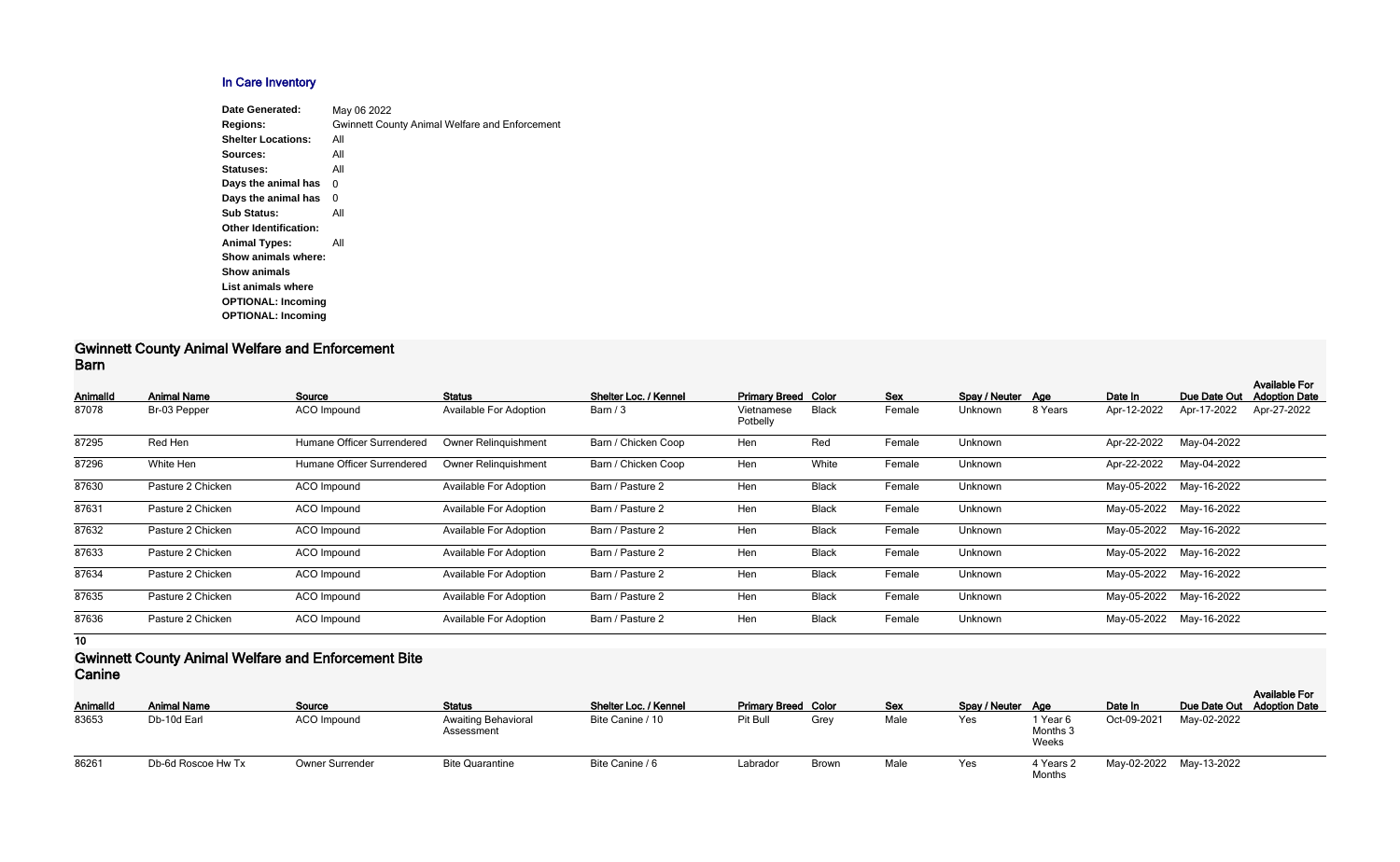## **In Care Inventory**

| <b>Date Generated:</b>       | May 06 2022                                           |
|------------------------------|-------------------------------------------------------|
| <b>Regions:</b>              | <b>Gwinnett County Animal Welfare and Enforcement</b> |
| <b>Shelter Locations:</b>    | All                                                   |
| Sources:                     | All                                                   |
| Statuses:                    | All                                                   |
| Days the animal has          | 0                                                     |
| Days the animal has          | 0                                                     |
| <b>Sub Status:</b>           | All                                                   |
| <b>Other Identification:</b> |                                                       |
| <b>Animal Types:</b>         | All                                                   |
| Show animals where:          |                                                       |
| <b>Show animals</b>          |                                                       |
| List animals where           |                                                       |
| <b>OPTIONAL: Incoming</b>    |                                                       |
| <b>OPTIONAL: Incoming</b>    |                                                       |
|                              |                                                       |

#### **Gwinnett County Animal Welfare and Enforcement Barn**

| <b>AnimalId</b> | <b>Animal Name</b> | Source                     | <b>Status</b>                 | Shelter Loc. / Kennel | <b>Primary Breed Color</b> |              | <b>Sex</b> | Spay / Neuter Age |         | Date In     | Due Date Out            | <b>Available For</b><br><b>Adoption Date</b> |
|-----------------|--------------------|----------------------------|-------------------------------|-----------------------|----------------------------|--------------|------------|-------------------|---------|-------------|-------------------------|----------------------------------------------|
| 87078           | Br-03 Pepper       | <b>ACO</b> Impound         | <b>Available For Adoption</b> | Barn / 3              | Vietnamese<br>Potbelly     | <b>Black</b> | Female     | Unknown           | 8 Years | Apr-12-2022 | Apr-17-2022             | Apr-27-2022                                  |
| 87295           | Red Hen            | Humane Officer Surrendered | <b>Owner Relinguishment</b>   | Barn / Chicken Coop   | Hen                        | Red          | Female     | Unknown           |         | Apr-22-2022 | May-04-2022             |                                              |
| 87296           | White Hen          | Humane Officer Surrendered | <b>Owner Relinguishment</b>   | Barn / Chicken Coop   | Hen                        | White        | Female     | Unknown           |         | Apr-22-2022 | May-04-2022             |                                              |
| 87630           | Pasture 2 Chicken  | <b>ACO</b> Impound         | <b>Available For Adoption</b> | Barn / Pasture 2      | Hen                        | <b>Black</b> | Female     | Unknown           |         | May-05-2022 | May-16-2022             |                                              |
| 87631           | Pasture 2 Chicken  | ACO Impound                | <b>Available For Adoption</b> | Barn / Pasture 2      | Hen                        | <b>Black</b> | Female     | Unknown           |         |             | May-05-2022 May-16-2022 |                                              |
| 87632           | Pasture 2 Chicken  | <b>ACO</b> Impound         | <b>Available For Adoption</b> | Barn / Pasture 2      | Hen                        | <b>Black</b> | Female     | Unknown           |         |             | May-05-2022 May-16-2022 |                                              |
| 87633           | Pasture 2 Chicken  | <b>ACO</b> Impound         | <b>Available For Adoption</b> | Barn / Pasture 2      | Hen                        | <b>Black</b> | Female     | Unknown           |         | May-05-2022 | May-16-2022             |                                              |
| 87634           | Pasture 2 Chicken  | <b>ACO</b> Impound         | <b>Available For Adoption</b> | Barn / Pasture 2      | Hen                        | <b>Black</b> | Female     | Unknown           |         | May-05-2022 | May-16-2022             |                                              |
| 87635           | Pasture 2 Chicken  | <b>ACO</b> Impound         | <b>Available For Adoption</b> | Barn / Pasture 2      | Hen                        | <b>Black</b> | Female     | Unknown           |         | May-05-2022 | May-16-2022             |                                              |
| 87636           | Pasture 2 Chicken  | <b>ACO</b> Impound         | Available For Adoption        | Barn / Pasture 2      | Hen                        | <b>Black</b> | Female     | Unknown           |         | May-05-2022 | May-16-2022             |                                              |

**10**

#### **Gwinnett County Animal Welfare and Enforcement Bite Canine**

| Animalld | <b>Animal Name</b> | Source                 | <b>Status</b>                            | Shelter Loc. / Kennel | <b>Primary Breed Color</b> |              | <b>Sex</b> | Spay / Neuter Age |                               | Date In     | Due Date Out |
|----------|--------------------|------------------------|------------------------------------------|-----------------------|----------------------------|--------------|------------|-------------------|-------------------------------|-------------|--------------|
| 83653    | Db-10d Earl        | ACO Impound            | <b>Awaiting Behavioral</b><br>Assessment | Bite Canine / 10      | Pit Bull                   | Grev         | Male       | Yes               | 1 Year 6<br>Months 3<br>Weeks | Oct-09-2021 | May-02-2022  |
| 86261    | Db-6d Roscoe Hw Tx | <b>Owner Surrender</b> | <b>Bite Quarantine</b>                   | Bite Canine / 6       | Labrador                   | <b>Brown</b> | Male       | Yes               | 4 Years 2                     | May-02-2022 | May-13-2022  |

| Spay / Neuter | Age                           | Date In     | Due Date Out | <b>Available For</b><br><b>Adoption Date</b> |
|---------------|-------------------------------|-------------|--------------|----------------------------------------------|
| Yes           | 1 Year 6<br>Months 3<br>Weeks | Oct-09-2021 | May-02-2022  |                                              |
| Yes           | 4 Years 2<br><b>Months</b>    | May-02-2022 | May-13-2022  |                                              |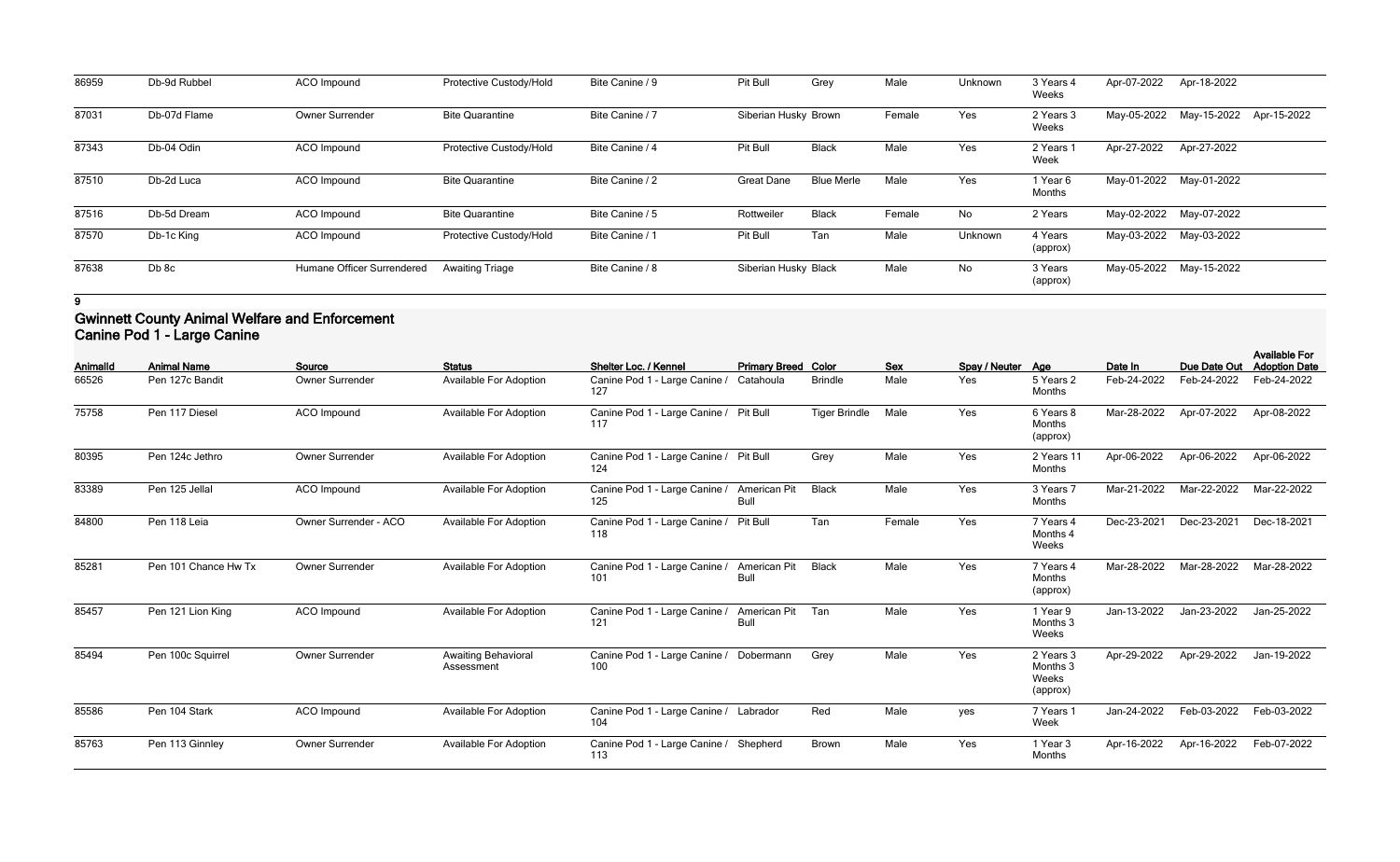| 86959 | Db-9d Rubbel | ACO Impound                | Protective Custody/Hold | Bite Canine / 9 | Pit Bull             | Grey              | Male   | Unknown | 3 Years 4<br>Weeks  | Apr-07-2022 | Apr-18-2022 |             |
|-------|--------------|----------------------------|-------------------------|-----------------|----------------------|-------------------|--------|---------|---------------------|-------------|-------------|-------------|
| 87031 | Db-07d Flame | <b>Owner Surrender</b>     | <b>Bite Quarantine</b>  | Bite Canine / 7 | Siberian Husky Brown |                   | Female | Yes     | 2 Years 3<br>Weeks  | May-05-2022 | May-15-2022 | Apr-15-2022 |
| 87343 | Db-04 Odin   | ACO Impound                | Protective Custody/Hold | Bite Canine / 4 | Pit Bull             | <b>Black</b>      | Male   | Yes     | 2 Years 1<br>Week   | Apr-27-2022 | Apr-27-2022 |             |
| 87510 | Db-2d Luca   | ACO Impound                | <b>Bite Quarantine</b>  | Bite Canine / 2 | <b>Great Dane</b>    | <b>Blue Merle</b> | Male   | Yes     | I Year 6<br>Months  | May-01-2022 | May-01-2022 |             |
| 87516 | Db-5d Dream  | ACO Impound                | <b>Bite Quarantine</b>  | Bite Canine / 5 | Rottweiler           | <b>Black</b>      | Female | No      | 2 Years             | May-02-2022 | May-07-2022 |             |
| 87570 | Db-1c King   | ACO Impound                | Protective Custody/Hold | Bite Canine / 1 | Pit Bull             | Tan               | Male   | Unknown | 4 Years<br>(approx) | May-03-2022 | May-03-2022 |             |
| 87638 | Db 8c        | Humane Officer Surrendered | <b>Awaiting Triage</b>  | Bite Canine / 8 | Siberian Husky Black |                   | Male   | No      | 3 Years<br>(approx) | May-05-2022 | May-15-2022 |             |

## **Gwinnett County Animal Welfare and Enforcement Canine Pod 1 - Large Canine**

| Animalld | <b>Animal Name</b>   | Source                 | <b>Status</b>                            | Shelter Loc. / Kennel                         | <b>Primary Breed Color</b>         |                      | <b>Sex</b> | Spay / Neuter Age |                                            | Date In     | Due Date Out | <b>Available For</b><br><b>Adoption Date</b> |
|----------|----------------------|------------------------|------------------------------------------|-----------------------------------------------|------------------------------------|----------------------|------------|-------------------|--------------------------------------------|-------------|--------------|----------------------------------------------|
| 66526    | Pen 127c Bandit      | Owner Surrender        | <b>Available For Adoption</b>            | Canine Pod 1 - Large Canine /<br>127          | Catahoula                          | <b>Brindle</b>       | Male       | Yes               | 5 Years 2<br>Months                        | Feb-24-2022 | Feb-24-2022  | Feb-24-2022                                  |
| 75758    | Pen 117 Diesel       | <b>ACO</b> Impound     | <b>Available For Adoption</b>            | Canine Pod 1 - Large Canine / Pit Bull<br>117 |                                    | <b>Tiger Brindle</b> | Male       | Yes               | 6 Years 8<br><b>Months</b><br>(approx)     | Mar-28-2022 | Apr-07-2022  | Apr-08-2022                                  |
| 80395    | Pen 124c Jethro      | <b>Owner Surrender</b> | <b>Available For Adoption</b>            | Canine Pod 1 - Large Canine / Pit Bull<br>124 |                                    | Grey                 | Male       | Yes               | 2 Years 11<br><b>Months</b>                | Apr-06-2022 | Apr-06-2022  | Apr-06-2022                                  |
| 83389    | Pen 125 Jellal       | <b>ACO</b> Impound     | <b>Available For Adoption</b>            | Canine Pod 1 - Large Canine /<br>125          | American Pit<br>Bull               | <b>Black</b>         | Male       | Yes               | 3 Years 7<br>Months                        | Mar-21-2022 | Mar-22-2022  | Mar-22-2022                                  |
| 84800    | Pen 118 Leia         | Owner Surrender - ACO  | <b>Available For Adoption</b>            | Canine Pod 1 - Large Canine /<br>118          | Pit Bull                           | Tan                  | Female     | Yes               | 7 Years 4<br>Months 4<br>Weeks             | Dec-23-2021 | Dec-23-2021  | Dec-18-2021                                  |
| 85281    | Pen 101 Chance Hw Tx | Owner Surrender        | <b>Available For Adoption</b>            | Canine Pod 1 - Large Canine /<br>101          | <b>American Pit</b><br><b>Bull</b> | <b>Black</b>         | Male       | Yes               | 7 Years 4<br>Months<br>(approx)            | Mar-28-2022 | Mar-28-2022  | Mar-28-2022                                  |
| 85457    | Pen 121 Lion King    | <b>ACO</b> Impound     | <b>Available For Adoption</b>            | Canine Pod 1 - Large Canine /<br>121          | American Pit<br><b>Bull</b>        | Tan                  | Male       | Yes               | 1 Year 9<br>Months 3<br>Weeks              | Jan-13-2022 | Jan-23-2022  | Jan-25-2022                                  |
| 85494    | Pen 100c Squirrel    | Owner Surrender        | <b>Awaiting Behavioral</b><br>Assessment | Canine Pod 1 - Large Canine /<br>100          | Dobermann                          | Grey                 | Male       | Yes               | 2 Years 3<br>Months 3<br>Weeks<br>(approx) | Apr-29-2022 | Apr-29-2022  | Jan-19-2022                                  |
| 85586    | Pen 104 Stark        | ACO Impound            | <b>Available For Adoption</b>            | Canine Pod 1 - Large Canine / Labrador<br>104 |                                    | Red                  | Male       | yes               | 7 Years 1<br>Week                          | Jan-24-2022 | Feb-03-2022  | Feb-03-2022                                  |
| 85763    | Pen 113 Ginnley      | Owner Surrender        | <b>Available For Adoption</b>            | Canine Pod 1 - Large Canine /<br>113          | Shepherd                           | Brown                | Male       | Yes               | 1 Year 3<br>Months                         | Apr-16-2022 | Apr-16-2022  | Feb-07-2022                                  |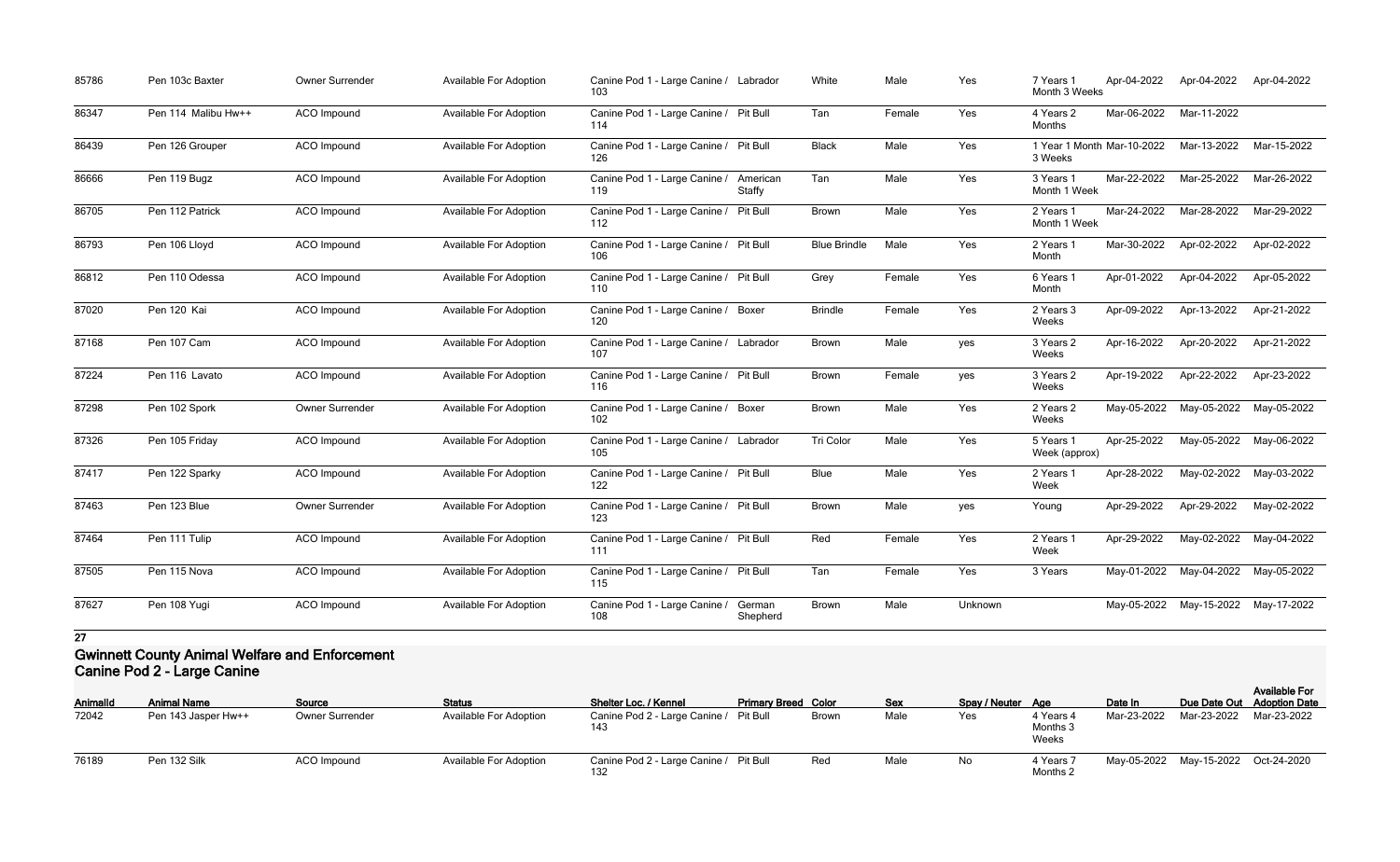| 85786 | Pen 103c Baxter     | Owner Surrender    | Available For Adoption        | Canine Pod 1 - Large Canine / Labrador<br>103 |                           | White               | Male   | Yes     | 7 Years 1<br>Month 3 Weeks            | Apr-04-2022 | Apr-04-2022                         | Apr-04-2022 |
|-------|---------------------|--------------------|-------------------------------|-----------------------------------------------|---------------------------|---------------------|--------|---------|---------------------------------------|-------------|-------------------------------------|-------------|
| 86347 | Pen 114 Malibu Hw++ | ACO Impound        | <b>Available For Adoption</b> | Canine Pod 1 - Large Canine / Pit Bull<br>114 |                           | Tan                 | Female | Yes     | 4 Years 2<br>Months                   | Mar-06-2022 | Mar-11-2022                         |             |
| 86439 | Pen 126 Grouper     | ACO Impound        | Available For Adoption        | Canine Pod 1 - Large Canine / Pit Bull<br>126 |                           | <b>Black</b>        | Male   | Yes     | 1 Year 1 Month Mar-10-2022<br>3 Weeks |             | Mar-13-2022                         | Mar-15-2022 |
| 86666 | Pen 119 Bugz        | ACO Impound        | Available For Adoption        | Canine Pod 1 - Large Canine /<br>119          | American<br><b>Staffy</b> | Tan                 | Male   | Yes     | 3 Years 1<br>Month 1 Week             | Mar-22-2022 | Mar-25-2022                         | Mar-26-2022 |
| 86705 | Pen 112 Patrick     | <b>ACO</b> Impound | <b>Available For Adoption</b> | Canine Pod 1 - Large Canine /<br>112          | <b>Pit Bull</b>           | Brown               | Male   | Yes     | 2 Years 1<br>Month 1 Week             | Mar-24-2022 | Mar-28-2022                         | Mar-29-2022 |
| 86793 | Pen 106 Lloyd       | ACO Impound        | Available For Adoption        | Canine Pod 1 - Large Canine / Pit Bull<br>106 |                           | <b>Blue Brindle</b> | Male   | Yes     | 2 Years 1<br>Month                    | Mar-30-2022 | Apr-02-2022                         | Apr-02-2022 |
| 86812 | Pen 110 Odessa      | ACO Impound        | <b>Available For Adoption</b> | Canine Pod 1 - Large Canine / Pit Bull<br>110 |                           | Grey                | Female | Yes     | 6 Years 1<br>Month                    | Apr-01-2022 | Apr-04-2022                         | Apr-05-2022 |
| 87020 | Pen 120 Kai         | <b>ACO</b> Impound | <b>Available For Adoption</b> | Canine Pod 1 - Large Canine / Boxer<br>120    |                           | <b>Brindle</b>      | Female | Yes     | 2 Years 3<br>Weeks                    | Apr-09-2022 | Apr-13-2022                         | Apr-21-2022 |
| 87168 | Pen 107 Cam         | ACO Impound        | Available For Adoption        | Canine Pod 1 - Large Canine / Labrador<br>107 |                           | <b>Brown</b>        | Male   | yes     | 3 Years 2<br>Weeks                    | Apr-16-2022 | Apr-20-2022                         | Apr-21-2022 |
| 87224 | Pen 116 Lavato      | ACO Impound        | Available For Adoption        | Canine Pod 1 - Large Canine / Pit Bull<br>116 |                           | <b>Brown</b>        | Female | yes     | 3 Years 2<br>Weeks                    | Apr-19-2022 | Apr-22-2022                         | Apr-23-2022 |
| 87298 | Pen 102 Spork       | Owner Surrender    | <b>Available For Adoption</b> | Canine Pod 1 - Large Canine / Boxer<br>102    |                           | Brown               | Male   | Yes     | 2 Years 2<br>Weeks                    | May-05-2022 | May-05-2022                         | May-05-2022 |
| 87326 | Pen 105 Friday      | ACO Impound        | Available For Adoption        | Canine Pod 1 - Large Canine / Labrador<br>105 |                           | <b>Tri Color</b>    | Male   | Yes     | 5 Years 1<br>Week (approx)            | Apr-25-2022 | May-05-2022                         | May-06-2022 |
| 87417 | Pen 122 Sparky      | ACO Impound        | Available For Adoption        | Canine Pod 1 - Large Canine / Pit Bull<br>122 |                           | Blue                | Male   | Yes     | 2 Years 1<br>Week                     | Apr-28-2022 | May-02-2022                         | May-03-2022 |
| 87463 | Pen 123 Blue        | Owner Surrender    | <b>Available For Adoption</b> | Canine Pod 1 - Large Canine / Pit Bull<br>123 |                           | <b>Brown</b>        | Male   | yes     | Young                                 | Apr-29-2022 | Apr-29-2022                         | May-02-2022 |
| 87464 | Pen 111 Tulip       | ACO Impound        | <b>Available For Adoption</b> | Canine Pod 1 - Large Canine / Pit Bull<br>111 |                           | Red                 | Female | Yes     | 2 Years 1<br>Week                     | Apr-29-2022 | May-02-2022 May-04-2022             |             |
| 87505 | Pen 115 Nova        | ACO Impound        | <b>Available For Adoption</b> | Canine Pod 1 - Large Canine / Pit Bull<br>115 |                           | Tan                 | Female | Yes     | 3 Years                               |             | May-01-2022 May-04-2022 May-05-2022 |             |
| 87627 | Pen 108 Yugi        | ACO Impound        | <b>Available For Adoption</b> | Canine Pod 1 - Large Canine /<br>108          | German<br>Shepherd        | Brown               | Male   | Unknown |                                       |             | May-05-2022 May-15-2022 May-17-2022 |             |

### **Gwinnett County Animal Welfare and Enforcement Canine Pod 2 - Large Canine**

| <b>AnimalId</b> | <b>Animal Name</b>  | Source                 | <b>Status</b>                 | Shelter Loc. / Kennel                         | <b>Primary Breed Color</b> |              | <b>Sex</b> | Spay / Neuter Age |                                | Date In |                                     | <b>Available For</b><br>Due Date Out Adoption Date |
|-----------------|---------------------|------------------------|-------------------------------|-----------------------------------------------|----------------------------|--------------|------------|-------------------|--------------------------------|---------|-------------------------------------|----------------------------------------------------|
| 72042           | Pen 143 Jasper Hw++ | <b>Owner Surrender</b> | <b>Available For Adoption</b> | Canine Pod 2 - Large Canine / Pit Bull<br>143 |                            | <b>Brown</b> | Male       | Yes               | 4 Years 4<br>Months 3<br>Weeks |         | Mar-23-2022 Mar-23-2022 Mar-23-2022 |                                                    |
| 76189           | Pen 132 Silk        | <b>ACO</b> Impound     | <b>Available For Adoption</b> | Canine Pod 2 - Large Canine / Pit Bull        |                            | Red          | Male       | No                | 4 Years 7<br>Months 2          |         | May-05-2022 May-15-2022 Oct-24-2020 |                                                    |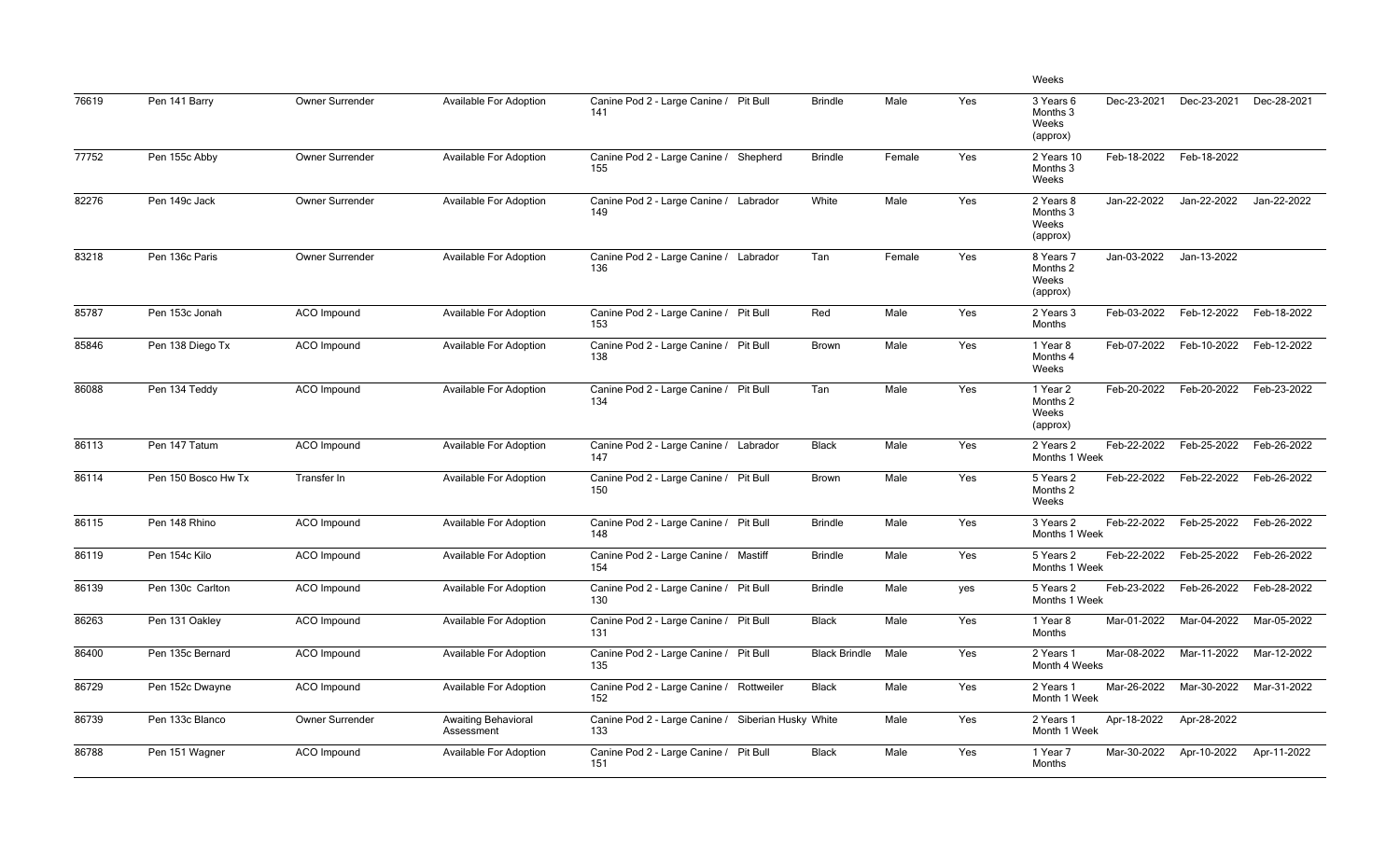|       |                     |                        |                                          |                                                           |                      |        |     | Weeks                                                     |             |             |
|-------|---------------------|------------------------|------------------------------------------|-----------------------------------------------------------|----------------------|--------|-----|-----------------------------------------------------------|-------------|-------------|
| 76619 | Pen 141 Barry       | <b>Owner Surrender</b> | <b>Available For Adoption</b>            | Canine Pod 2 - Large Canine / Pit Bull<br>141             | <b>Brindle</b>       | Male   | Yes | Dec-23-2021<br>3 Years 6<br>Months 3<br>Weeks<br>(approx) | Dec-23-2021 | Dec-28-2021 |
| 77752 | Pen 155c Abby       | Owner Surrender        | Available For Adoption                   | Canine Pod 2 - Large Canine /<br>Shepherd<br>155          | <b>Brindle</b>       | Female | Yes | Feb-18-2022<br>2 Years 10<br>Months 3<br>Weeks            | Feb-18-2022 |             |
| 82276 | Pen 149c Jack       | Owner Surrender        | <b>Available For Adoption</b>            | Canine Pod 2 - Large Canine / Labrador<br>149             | White                | Male   | Yes | Jan-22-2022<br>2 Years 8<br>Months 3<br>Weeks<br>(approx) | Jan-22-2022 | Jan-22-2022 |
| 83218 | Pen 136c Paris      | Owner Surrender        | <b>Available For Adoption</b>            | Canine Pod 2 - Large Canine / Labrador<br>136             | Tan                  | Female | Yes | Jan-03-2022<br>8 Years 7<br>Months 2<br>Weeks<br>(approx) | Jan-13-2022 |             |
| 85787 | Pen 153c Jonah      | <b>ACO Impound</b>     | Available For Adoption                   | Canine Pod 2 - Large Canine / Pit Bull<br>153             | Red                  | Male   | Yes | Feb-03-2022<br>2 Years 3<br>Months                        | Feb-12-2022 | Feb-18-2022 |
| 85846 | Pen 138 Diego Tx    | ACO Impound            | <b>Available For Adoption</b>            | Canine Pod 2 - Large Canine / Pit Bull<br>138             | <b>Brown</b>         | Male   | Yes | Feb-07-2022<br>1 Year 8<br>Months 4<br>Weeks              | Feb-10-2022 | Feb-12-2022 |
| 86088 | Pen 134 Teddy       | <b>ACO</b> Impound     | Available For Adoption                   | Canine Pod 2 - Large Canine / Pit Bull<br>134             | Tan                  | Male   | Yes | Feb-20-2022<br>1 Year 2<br>Months 2<br>Weeks<br>(approx)  | Feb-20-2022 | Feb-23-2022 |
| 86113 | Pen 147 Tatum       | ACO Impound            | Available For Adoption                   | Canine Pod 2 - Large Canine / Labrador<br>147             | <b>Black</b>         | Male   | Yes | Feb-22-2022<br>2 Years 2<br>Months 1 Week                 | Feb-25-2022 | Feb-26-2022 |
| 86114 | Pen 150 Bosco Hw Tx | Transfer In            | Available For Adoption                   | Canine Pod 2 - Large Canine / Pit Bull<br>150             | <b>Brown</b>         | Male   | Yes | Feb-22-2022<br>5 Years 2<br>Months 2<br>Weeks             | Feb-22-2022 | Feb-26-2022 |
| 86115 | Pen 148 Rhino       | ACO Impound            | <b>Available For Adoption</b>            | Canine Pod 2 - Large Canine / Pit Bull<br>148             | <b>Brindle</b>       | Male   | Yes | Feb-22-2022<br>3 Years 2<br>Months 1 Week                 | Feb-25-2022 | Feb-26-2022 |
| 86119 | Pen 154c Kilo       | ACO Impound            | Available For Adoption                   | Canine Pod 2 - Large Canine / Mastiff<br>154              | <b>Brindle</b>       | Male   | Yes | Feb-22-2022<br>5 Years 2<br>Months 1 Week                 | Feb-25-2022 | Feb-26-2022 |
| 86139 | Pen 130c Carlton    | ACO Impound            | Available For Adoption                   | Canine Pod 2 - Large Canine / Pit Bull<br>130             | <b>Brindle</b>       | Male   | yes | Feb-23-2022<br>5 Years 2<br>Months 1 Week                 | Feb-26-2022 | Feb-28-2022 |
| 86263 | Pen 131 Oakley      | ACO Impound            | <b>Available For Adoption</b>            | Canine Pod 2 - Large Canine / Pit Bull<br>131             | <b>Black</b>         | Male   | Yes | Mar-01-2022<br>1 Year 8<br>Months                         | Mar-04-2022 | Mar-05-2022 |
| 86400 | Pen 135c Bernard    | ACO Impound            | Available For Adoption                   | Canine Pod 2 - Large Canine / Pit Bull<br>135             | <b>Black Brindle</b> | Male   | Yes | Mar-08-2022<br>2 Years 1<br>Month 4 Weeks                 | Mar-11-2022 | Mar-12-2022 |
| 86729 | Pen 152c Dwayne     | ACO Impound            | Available For Adoption                   | Canine Pod 2 - Large Canine / Rottweiler<br>152           | <b>Black</b>         | Male   | Yes | Mar-26-2022<br>2 Years 1<br>Month 1 Week                  | Mar-30-2022 | Mar-31-2022 |
| 86739 | Pen 133c Blanco     | Owner Surrender        | <b>Awaiting Behavioral</b><br>Assessment | Canine Pod 2 - Large Canine / Siberian Husky White<br>133 |                      | Male   | Yes | Apr-18-2022<br>2 Years 1<br>Month 1 Week                  | Apr-28-2022 |             |
| 86788 | Pen 151 Wagner      | ACO Impound            | Available For Adoption                   | Canine Pod 2 - Large Canine / Pit Bull<br>151             | <b>Black</b>         | Male   | Yes | Mar-30-2022<br>1 Year 7<br>Months                         | Apr-10-2022 | Apr-11-2022 |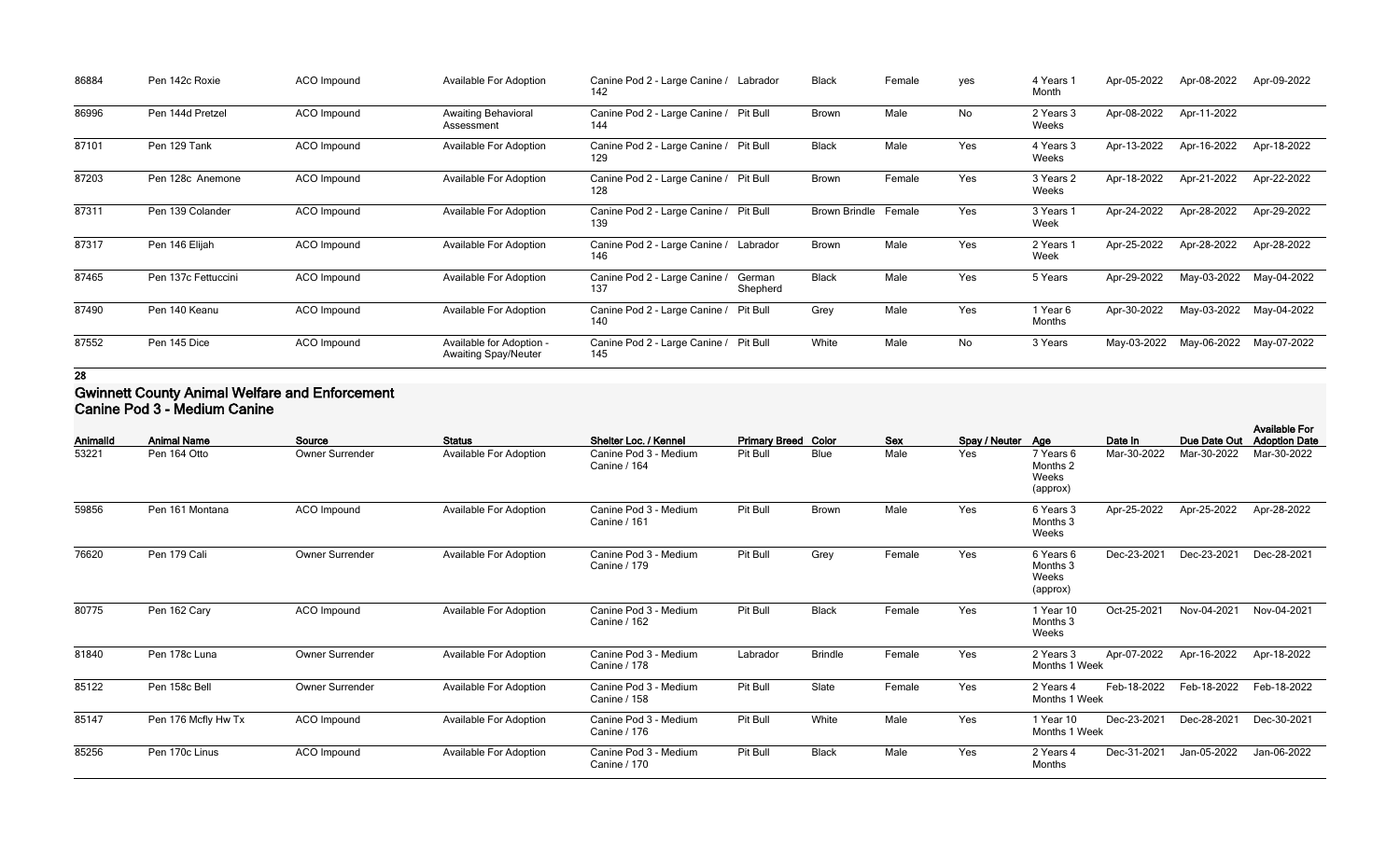| 86884 | Pen 142c Roxie      | ACO Impound | <b>Available For Adoption</b>                           | Canine Pod 2 - Large Canine / Labrador<br>142 |                    | <b>Black</b>         | Female | yes | 4 Years<br>Month   | Apr-05-2022 | Apr-08-2022 | Apr-09-2022 |
|-------|---------------------|-------------|---------------------------------------------------------|-----------------------------------------------|--------------------|----------------------|--------|-----|--------------------|-------------|-------------|-------------|
| 86996 | Pen 144d Pretzel    | ACO Impound | <b>Awaiting Behavioral</b><br>Assessment                | Canine Pod 2 - Large Canine / Pit Bull<br>144 |                    | <b>Brown</b>         | Male   | No  | 2 Years 3<br>Weeks | Apr-08-2022 | Apr-11-2022 |             |
| 87101 | Pen 129 Tank        | ACO Impound | Available For Adoption                                  | Canine Pod 2 - Large Canine /<br>129          | <b>Pit Bull</b>    | <b>Black</b>         | Male   | Yes | 4 Years 3<br>Weeks | Apr-13-2022 | Apr-16-2022 | Apr-18-2022 |
| 87203 | Pen 128c Anemone    | ACO Impound | Available For Adoption                                  | Canine Pod 2 - Large Canine / Pit Bull<br>128 |                    | <b>Brown</b>         | Female | Yes | 3 Years 2<br>Weeks | Apr-18-2022 | Apr-21-2022 | Apr-22-2022 |
| 87311 | Pen 139 Colander    | ACO Impound | <b>Available For Adoption</b>                           | Canine Pod 2 - Large Canine / Pit Bull<br>139 |                    | <b>Brown Brindle</b> | Female | Yes | 3 Years 1<br>Week  | Apr-24-2022 | Apr-28-2022 | Apr-29-2022 |
| 87317 | Pen 146 Elijah      | ACO Impound | <b>Available For Adoption</b>                           | Canine Pod 2 - Large Canine / Labrador<br>146 |                    | <b>Brown</b>         | Male   | Yes | 2 Years 1<br>Week  | Apr-25-2022 | Apr-28-2022 | Apr-28-2022 |
| 87465 | Pen 137c Fettuccini | ACO Impound | <b>Available For Adoption</b>                           | Canine Pod 2 - Large Canine /<br>137          | German<br>Shepherd | <b>Black</b>         | Male   | Yes | 5 Years            | Apr-29-2022 | May-03-2022 | May-04-2022 |
| 87490 | Pen 140 Keanu       | ACO Impound | <b>Available For Adoption</b>                           | Canine Pod 2 - Large Canine /<br>140          | <b>Pit Bull</b>    | Grey                 | Male   | Yes | 1 Year 6<br>Months | Apr-30-2022 | May-03-2022 | May-04-2022 |
| 87552 | Pen 145 Dice        | ACO Impound | Available for Adoption -<br><b>Awaiting Spay/Neuter</b> | Canine Pod 2 - Large Canine / Pit Bull<br>145 |                    | White                | Male   | No  | 3 Years            | May-03-2022 | May-06-2022 | May-07-2022 |

#### **Gwinnett County Animal Welfare and Enforcement Canine Pod 3 - Medium Canine**

| Animalld | <b>Animal Name</b>  | Source                 | <b>Status</b>                 | Shelter Loc. / Kennel                        | <b>Primary Breed Color</b> |                | <b>Sex</b> | Spay / Neuter Age |                                            | Date In     | Due Date Out | <b>Available For</b><br><b>Adoption Date</b> |
|----------|---------------------|------------------------|-------------------------------|----------------------------------------------|----------------------------|----------------|------------|-------------------|--------------------------------------------|-------------|--------------|----------------------------------------------|
| 53221    | Pen 164 Otto        | <b>Owner Surrender</b> | <b>Available For Adoption</b> | Canine Pod 3 - Medium<br><b>Canine / 164</b> | Pit Bull                   | <b>Blue</b>    | Male       | Yes               | 7 Years 6<br>Months 2<br>Weeks<br>(approx) | Mar-30-2022 | Mar-30-2022  | Mar-30-2022                                  |
| 59856    | Pen 161 Montana     | ACO Impound            | Available For Adoption        | Canine Pod 3 - Medium<br>Canine / 161        | Pit Bull                   | Brown          | Male       | Yes               | 6 Years 3<br>Months 3<br>Weeks             | Apr-25-2022 | Apr-25-2022  | Apr-28-2022                                  |
| 76620    | Pen 179 Cali        | <b>Owner Surrender</b> | <b>Available For Adoption</b> | Canine Pod 3 - Medium<br>Canine / 179        | Pit Bull                   | Grey           | Female     | Yes               | 6 Years 6<br>Months 3<br>Weeks<br>(approx) | Dec-23-2021 | Dec-23-2021  | Dec-28-2021                                  |
| 80775    | Pen 162 Cary        | ACO Impound            | <b>Available For Adoption</b> | Canine Pod 3 - Medium<br><b>Canine / 162</b> | Pit Bull                   | <b>Black</b>   | Female     | Yes               | 1 Year 10<br>Months 3<br>Weeks             | Oct-25-2021 | Nov-04-2021  | Nov-04-2021                                  |
| 81840    | Pen 178c Luna       | <b>Owner Surrender</b> | <b>Available For Adoption</b> | Canine Pod 3 - Medium<br><b>Canine / 178</b> | Labrador                   | <b>Brindle</b> | Female     | Yes               | 2 Years 3<br>Months 1 Week                 | Apr-07-2022 | Apr-16-2022  | Apr-18-2022                                  |
| 85122    | Pen 158c Bell       | Owner Surrender        | <b>Available For Adoption</b> | Canine Pod 3 - Medium<br><b>Canine / 158</b> | Pit Bull                   | Slate          | Female     | Yes               | 2 Years 4<br>Months 1 Week                 | Feb-18-2022 | Feb-18-2022  | Feb-18-2022                                  |
| 85147    | Pen 176 Mcfly Hw Tx | <b>ACO</b> Impound     | <b>Available For Adoption</b> | Canine Pod 3 - Medium<br>Canine / 176        | Pit Bull                   | White          | Male       | Yes               | 1 Year 10<br>Months 1 Week                 | Dec-23-2021 | Dec-28-2021  | Dec-30-2021                                  |
| 85256    | Pen 170c Linus      | ACO Impound            | <b>Available For Adoption</b> | Canine Pod 3 - Medium<br><b>Canine / 170</b> | Pit Bull                   | <b>Black</b>   | Male       | Yes               | 2 Years 4<br>Months                        | Dec-31-2021 | Jan-05-2022  | Jan-06-2022                                  |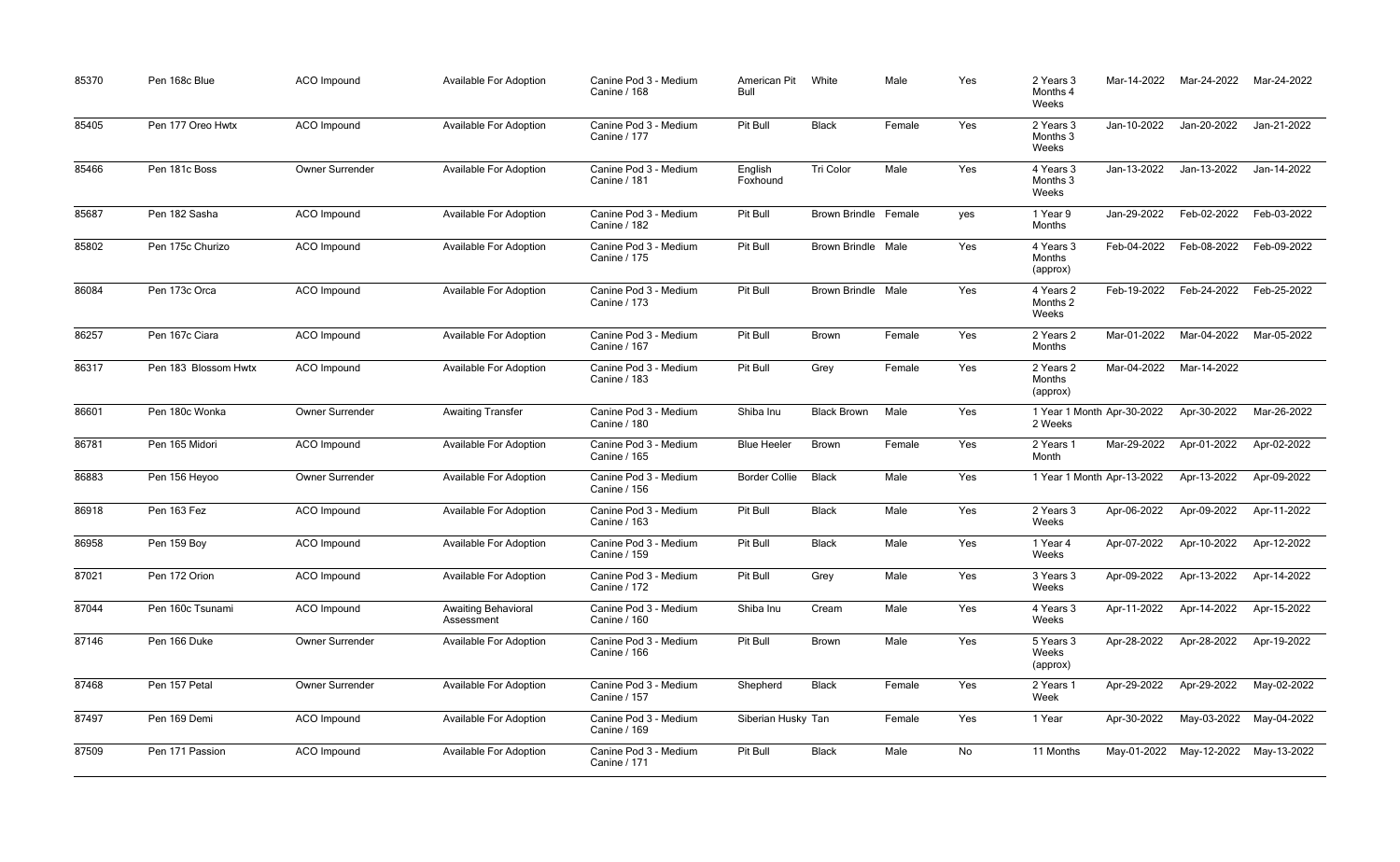| 85370 | Pen 168c Blue        | <b>ACO</b> Impound | <b>Available For Adoption</b>            | Canine Pod 3 - Medium<br><b>Canine / 168</b> | American Pit<br>Bull | White                     | Male   | Yes | 2 Years 3<br>Months 4<br>Weeks        | Mar-14-2022 | Mar-24-2022             | Mar-24-2022 |
|-------|----------------------|--------------------|------------------------------------------|----------------------------------------------|----------------------|---------------------------|--------|-----|---------------------------------------|-------------|-------------------------|-------------|
| 85405 | Pen 177 Oreo Hwtx    | ACO Impound        | <b>Available For Adoption</b>            | Canine Pod 3 - Medium<br>Canine / 177        | Pit Bull             | <b>Black</b>              | Female | Yes | 2 Years 3<br>Months 3<br>Weeks        | Jan-10-2022 | Jan-20-2022             | Jan-21-2022 |
| 85466 | Pen 181c Boss        | Owner Surrender    | <b>Available For Adoption</b>            | Canine Pod 3 - Medium<br><b>Canine / 181</b> | English<br>Foxhound  | Tri Color                 | Male   | Yes | 4 Years 3<br>Months 3<br>Weeks        | Jan-13-2022 | Jan-13-2022             | Jan-14-2022 |
| 85687 | Pen 182 Sasha        | <b>ACO</b> Impound | <b>Available For Adoption</b>            | Canine Pod 3 - Medium<br><b>Canine / 182</b> | Pit Bull             | Brown Brindle Female      |        | yes | 1 Year 9<br>Months                    | Jan-29-2022 | Feb-02-2022             | Feb-03-2022 |
| 85802 | Pen 175c Churizo     | ACO Impound        | <b>Available For Adoption</b>            | Canine Pod 3 - Medium<br>Canine / 175        | Pit Bull             | <b>Brown Brindle Male</b> |        | Yes | 4 Years 3<br>Months<br>(approx)       | Feb-04-2022 | Feb-08-2022             | Feb-09-2022 |
| 86084 | Pen 173c Orca        | <b>ACO</b> Impound | <b>Available For Adoption</b>            | Canine Pod 3 - Medium<br>Canine / 173        | Pit Bull             | <b>Brown Brindle Male</b> |        | Yes | 4 Years 2<br>Months 2<br>Weeks        | Feb-19-2022 | Feb-24-2022             | Feb-25-2022 |
| 86257 | Pen 167c Ciara       | <b>ACO</b> Impound | <b>Available For Adoption</b>            | Canine Pod 3 - Medium<br>Canine / 167        | Pit Bull             | <b>Brown</b>              | Female | Yes | 2 Years 2<br>Months                   | Mar-01-2022 | Mar-04-2022             | Mar-05-2022 |
| 86317 | Pen 183 Blossom Hwtx | ACO Impound        | <b>Available For Adoption</b>            | Canine Pod 3 - Medium<br><b>Canine / 183</b> | Pit Bull             | Grey                      | Female | Yes | 2 Years 2<br>Months<br>(approx)       | Mar-04-2022 | Mar-14-2022             |             |
| 86601 | Pen 180c Wonka       | Owner Surrender    | <b>Awaiting Transfer</b>                 | Canine Pod 3 - Medium<br>Canine / 180        | Shiba Inu            | <b>Black Brown</b>        | Male   | Yes | 1 Year 1 Month Apr-30-2022<br>2 Weeks |             | Apr-30-2022             | Mar-26-2022 |
| 86781 | Pen 165 Midori       | <b>ACO</b> Impound | <b>Available For Adoption</b>            | Canine Pod 3 - Medium<br>Canine / 165        | <b>Blue Heeler</b>   | Brown                     | Female | Yes | 2 Years 1<br>Month                    | Mar-29-2022 | Apr-01-2022             | Apr-02-2022 |
| 86883 | Pen 156 Heyoo        | Owner Surrender    | <b>Available For Adoption</b>            | Canine Pod 3 - Medium<br>Canine / 156        | <b>Border Collie</b> | <b>Black</b>              | Male   | Yes | 1 Year 1 Month Apr-13-2022            |             | Apr-13-2022             | Apr-09-2022 |
| 86918 | Pen 163 Fez          | <b>ACO</b> Impound | <b>Available For Adoption</b>            | Canine Pod 3 - Medium<br>Canine / 163        | Pit Bull             | <b>Black</b>              | Male   | Yes | 2 Years 3<br>Weeks                    | Apr-06-2022 | Apr-09-2022             | Apr-11-2022 |
| 86958 | Pen 159 Boy          | ACO Impound        | <b>Available For Adoption</b>            | Canine Pod 3 - Medium<br>Canine / 159        | Pit Bull             | <b>Black</b>              | Male   | Yes | 1 Year 4<br>Weeks                     | Apr-07-2022 | Apr-10-2022             | Apr-12-2022 |
| 87021 | Pen 172 Orion        | ACO Impound        | <b>Available For Adoption</b>            | Canine Pod 3 - Medium<br>Canine / 172        | Pit Bull             | Grey                      | Male   | Yes | 3 Years 3<br>Weeks                    | Apr-09-2022 | Apr-13-2022             | Apr-14-2022 |
| 87044 | Pen 160c Tsunami     | ACO Impound        | <b>Awaiting Behavioral</b><br>Assessment | Canine Pod 3 - Medium<br>Canine / 160        | Shiba Inu            | Cream                     | Male   | Yes | 4 Years 3<br>Weeks                    | Apr-11-2022 | Apr-14-2022             | Apr-15-2022 |
| 87146 | Pen 166 Duke         | Owner Surrender    | <b>Available For Adoption</b>            | Canine Pod 3 - Medium<br>Canine / 166        | Pit Bull             | <b>Brown</b>              | Male   | Yes | 5 Years 3<br>Weeks<br>(approx)        | Apr-28-2022 | Apr-28-2022             | Apr-19-2022 |
| 87468 | Pen 157 Petal        | Owner Surrender    | <b>Available For Adoption</b>            | Canine Pod 3 - Medium<br>Canine / 157        | Shepherd             | <b>Black</b>              | Female | Yes | 2 Years 1<br>Week                     | Apr-29-2022 | Apr-29-2022             | May-02-2022 |
| 87497 | Pen 169 Demi         | ACO Impound        | <b>Available For Adoption</b>            | Canine Pod 3 - Medium<br>Canine / 169        | Siberian Husky Tan   |                           | Female | Yes | 1 Year                                | Apr-30-2022 | May-03-2022             | May-04-2022 |
| 87509 | Pen 171 Passion      | ACO Impound        | <b>Available For Adoption</b>            | Canine Pod 3 - Medium<br>Canine / 171        | Pit Bull             | <b>Black</b>              | Male   | No  | 11 Months                             |             | May-01-2022 May-12-2022 | May-13-2022 |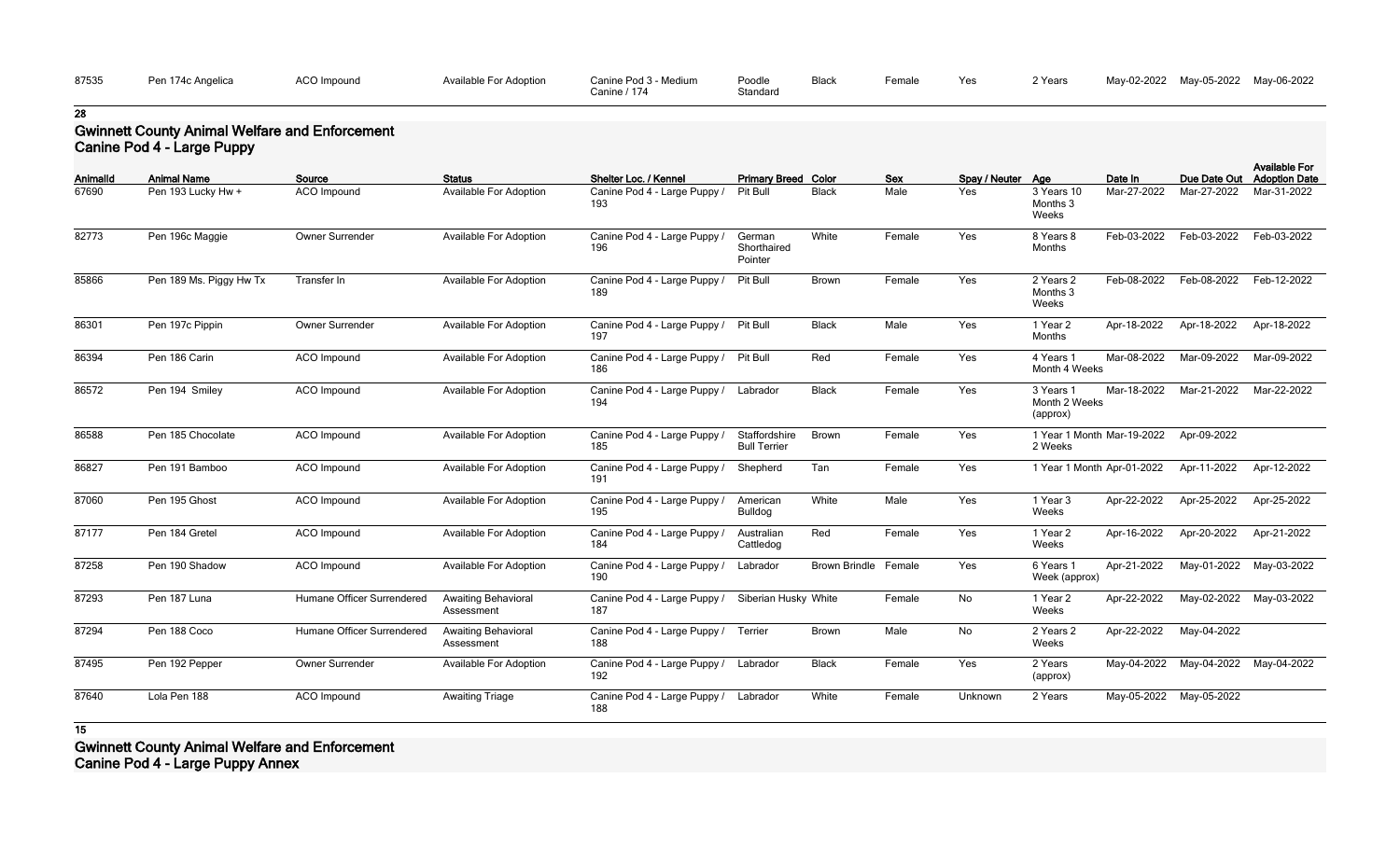| 87535 | Pen 174c Angelica | <b>ACO Impound</b> | Available For Adoption | Canine Pod 3 - Medium | Poodle   | <b>Black</b> | Female. |
|-------|-------------------|--------------------|------------------------|-----------------------|----------|--------------|---------|
|       |                   |                    |                        | Canine / 174          | Standard |              |         |

## **Gwinnett County Animal Welfare and Enforcement Canine Pod 4 - Large Puppy**

|          | Canine Pod 4 - Large Puppy |                            |                                          |                                     |                                      |                      |            |                   |                                        |                            |                                     |                                              |
|----------|----------------------------|----------------------------|------------------------------------------|-------------------------------------|--------------------------------------|----------------------|------------|-------------------|----------------------------------------|----------------------------|-------------------------------------|----------------------------------------------|
| Animalld | <b>Animal Name</b>         | Source                     | <b>Status</b>                            | Shelter Loc. / Kennel               | <b>Primary Breed Color</b>           |                      | <b>Sex</b> | Spay / Neuter Age |                                        | Date In                    | Due Date Out                        | <b>Available For</b><br><b>Adoption Date</b> |
| 67690    | Pen 193 Lucky Hw +         | ACO Impound                | Available For Adoption                   | Canine Pod 4 - Large Puppy /<br>193 | Pit Bull                             | <b>Black</b>         | Male       | Yes               | 3 Years 10<br>Months 3<br>Weeks        | Mar-27-2022                | Mar-27-2022                         | Mar-31-2022                                  |
| 82773    | Pen 196c Maggie            | Owner Surrender            | Available For Adoption                   | Canine Pod 4 - Large Puppy /<br>196 | German<br>Shorthaired<br>Pointer     | White                | Female     | Yes               | 8 Years 8<br>Months                    | Feb-03-2022                | Feb-03-2022                         | Feb-03-2022                                  |
| 85866    | Pen 189 Ms. Piggy Hw Tx    | Transfer In                | Available For Adoption                   | Canine Pod 4 - Large Puppy /<br>189 | Pit Bull                             | <b>Brown</b>         | Female     | Yes               | 2 Years 2<br>Months 3<br>Weeks         | Feb-08-2022                | Feb-08-2022                         | Feb-12-2022                                  |
| 86301    | Pen 197c Pippin            | Owner Surrender            | Available For Adoption                   | Canine Pod 4 - Large Puppy /<br>197 | Pit Bull                             | <b>Black</b>         | Male       | Yes               | 1 Year 2<br>Months                     | Apr-18-2022                | Apr-18-2022                         | Apr-18-2022                                  |
| 86394    | Pen 186 Carin              | ACO Impound                | Available For Adoption                   | Canine Pod 4 - Large Puppy /<br>186 | Pit Bull                             | Red                  | Female     | Yes               | 4 Years 1<br>Month 4 Weeks             | Mar-08-2022                | Mar-09-2022                         | Mar-09-2022                                  |
| 86572    | Pen 194 Smiley             | ACO Impound                | <b>Available For Adoption</b>            | Canine Pod 4 - Large Puppy /<br>194 | Labrador                             | <b>Black</b>         | Female     | Yes               | 3 Years 1<br>Month 2 Weeks<br>(approx) | Mar-18-2022                | Mar-21-2022                         | Mar-22-2022                                  |
| 86588    | Pen 185 Chocolate          | ACO Impound                | <b>Available For Adoption</b>            | Canine Pod 4 - Large Puppy /<br>185 | Staffordshire<br><b>Bull Terrier</b> | <b>Brown</b>         | Female     | Yes               | 2 Weeks                                | 1 Year 1 Month Mar-19-2022 | Apr-09-2022                         |                                              |
| 86827    | Pen 191 Bamboo             | ACO Impound                | Available For Adoption                   | Canine Pod 4 - Large Puppy /<br>191 | Shepherd                             | Tan                  | Female     | Yes               |                                        | 1 Year 1 Month Apr-01-2022 | Apr-11-2022                         | Apr-12-2022                                  |
| 87060    | Pen 195 Ghost              | ACO Impound                | Available For Adoption                   | Canine Pod 4 - Large Puppy /<br>195 | American<br><b>Bulldog</b>           | White                | Male       | Yes               | 1 Year 3<br>Weeks                      | Apr-22-2022                | Apr-25-2022                         | Apr-25-2022                                  |
| 87177    | Pen 184 Gretel             | ACO Impound                | Available For Adoption                   | Canine Pod 4 - Large Puppy /<br>184 | Australian<br>Cattledog              | Red                  | Female     | Yes               | 1 Year 2<br>Weeks                      | Apr-16-2022                | Apr-20-2022                         | Apr-21-2022                                  |
| 87258    | Pen 190 Shadow             | ACO Impound                | <b>Available For Adoption</b>            | Canine Pod 4 - Large Puppy /<br>190 | Labrador                             | <b>Brown Brindle</b> | Female     | Yes               | 6 Years 1<br>Week (approx)             | Apr-21-2022                | May-01-2022                         | May-03-2022                                  |
| 87293    | Pen 187 Luna               | Humane Officer Surrendered | Awaiting Behavioral<br>Assessment        | Canine Pod 4 - Large Puppy /<br>187 | Siberian Husky White                 |                      | Female     | No                | 1 Year 2<br>Weeks                      | Apr-22-2022                | May-02-2022                         | May-03-2022                                  |
| 87294    | Pen 188 Coco               | Humane Officer Surrendered | <b>Awaiting Behavioral</b><br>Assessment | Canine Pod 4 - Large Puppy /<br>188 | Terrier                              | <b>Brown</b>         | Male       | No                | 2 Years 2<br>Weeks                     | Apr-22-2022                | May-04-2022                         |                                              |
| 87495    | Pen 192 Pepper             | Owner Surrender            | Available For Adoption                   | Canine Pod 4 - Large Puppy /<br>192 | Labrador                             | <b>Black</b>         | Female     | Yes               | 2 Years<br>(approx)                    |                            | May-04-2022 May-04-2022 May-04-2022 |                                              |
| 87640    | Lola Pen 188               | ACO Impound                | <b>Awaiting Triage</b>                   | Canine Pod 4 - Large Puppy /<br>188 | Labrador                             | White                | Female     | Unknown           | 2 Years                                |                            | May-05-2022 May-05-2022             |                                              |

**15**

**Gwinnett County Animal Welfare and Enforcement Canine Pod 4 - Large Puppy Annex**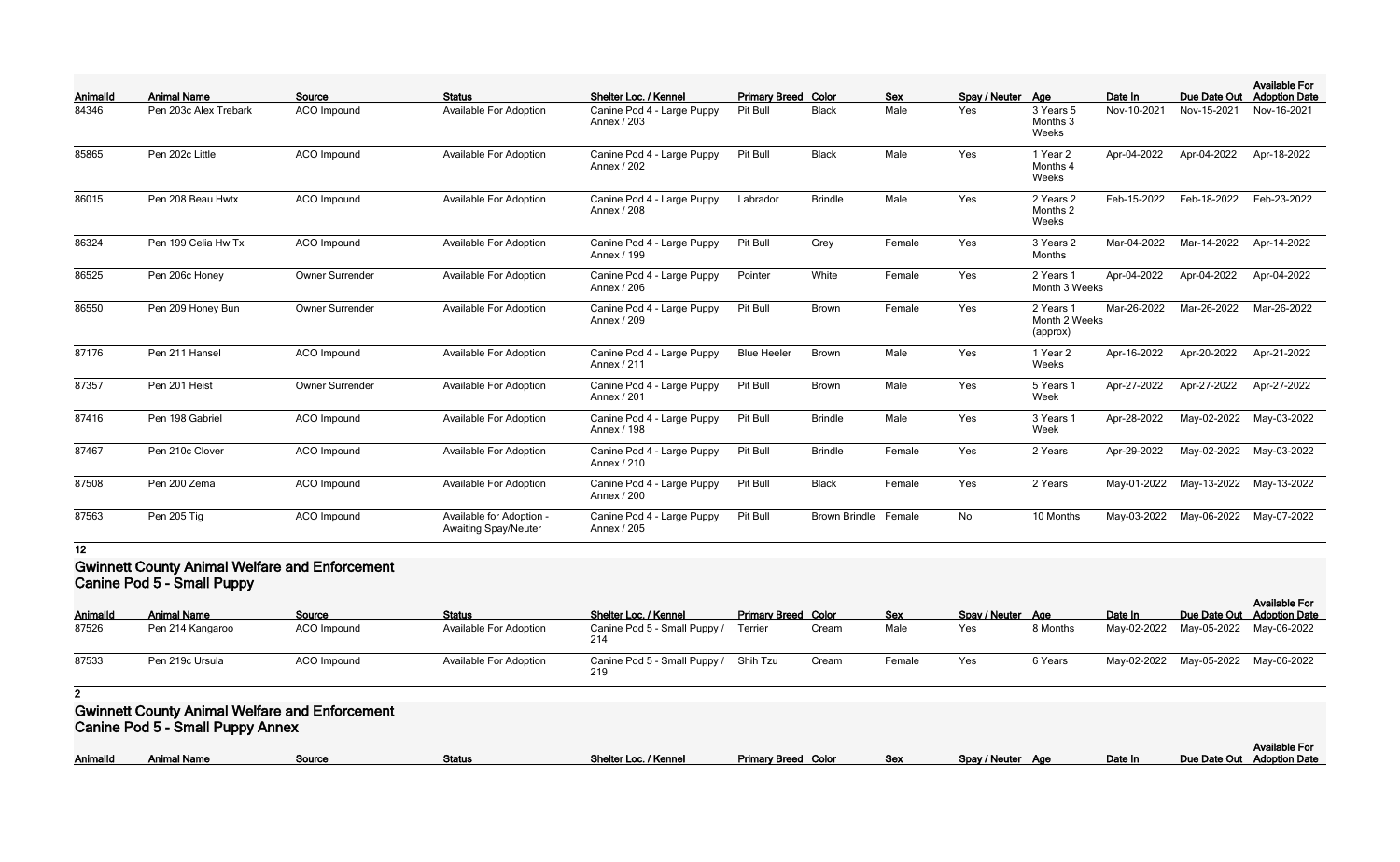| Animalld | <b>Animal Name</b>    | Source             | <b>Status</b>                                           | Shelter Loc. / Kennel                     | <b>Primary Breed Color</b> |                      | <b>Sex</b> | Spay / Neuter Age |                                        | Date In     | Due Date Out | <b>Available For</b><br><b>Adoption Date</b> |
|----------|-----------------------|--------------------|---------------------------------------------------------|-------------------------------------------|----------------------------|----------------------|------------|-------------------|----------------------------------------|-------------|--------------|----------------------------------------------|
| 84346    | Pen 203c Alex Trebark | ACO Impound        | <b>Available For Adoption</b>                           | Canine Pod 4 - Large Puppy<br>Annex / 203 | Pit Bull                   | <b>Black</b>         | Male       | Yes               | 3 Years 5<br>Months 3<br>Weeks         | Nov-10-2021 | Nov-15-2021  | Nov-16-2021                                  |
| 85865    | Pen 202c Little       | ACO Impound        | <b>Available For Adoption</b>                           | Canine Pod 4 - Large Puppy<br>Annex / 202 | Pit Bull                   | <b>Black</b>         | Male       | Yes               | 1 Year 2<br>Months 4<br>Weeks          | Apr-04-2022 | Apr-04-2022  | Apr-18-2022                                  |
| 86015    | Pen 208 Beau Hwtx     | ACO Impound        | Available For Adoption                                  | Canine Pod 4 - Large Puppy<br>Annex / 208 | Labrador                   | <b>Brindle</b>       | Male       | Yes               | 2 Years 2<br>Months 2<br>Weeks         | Feb-15-2022 | Feb-18-2022  | Feb-23-2022                                  |
| 86324    | Pen 199 Celia Hw Tx   | ACO Impound        | <b>Available For Adoption</b>                           | Canine Pod 4 - Large Puppy<br>Annex / 199 | Pit Bull                   | Grey                 | Female     | Yes               | 3 Years 2<br>Months                    | Mar-04-2022 | Mar-14-2022  | Apr-14-2022                                  |
| 86525    | Pen 206c Honey        | Owner Surrender    | Available For Adoption                                  | Canine Pod 4 - Large Puppy<br>Annex / 206 | Pointer                    | White                | Female     | Yes               | 2 Years 1<br>Month 3 Weeks             | Apr-04-2022 | Apr-04-2022  | Apr-04-2022                                  |
| 86550    | Pen 209 Honey Bun     | Owner Surrender    | <b>Available For Adoption</b>                           | Canine Pod 4 - Large Puppy<br>Annex / 209 | Pit Bull                   | Brown                | Female     | Yes               | 2 Years 1<br>Month 2 Weeks<br>(approx) | Mar-26-2022 | Mar-26-2022  | Mar-26-2022                                  |
| 87176    | Pen 211 Hansel        | ACO Impound        | <b>Available For Adoption</b>                           | Canine Pod 4 - Large Puppy<br>Annex / 211 | <b>Blue Heeler</b>         | Brown                | Male       | Yes               | 1 Year 2<br>Weeks                      | Apr-16-2022 | Apr-20-2022  | Apr-21-2022                                  |
| 87357    | Pen 201 Heist         | Owner Surrender    | <b>Available For Adoption</b>                           | Canine Pod 4 - Large Puppy<br>Annex / 201 | Pit Bull                   | Brown                | Male       | Yes               | 5 Years 1<br>Week                      | Apr-27-2022 | Apr-27-2022  | Apr-27-2022                                  |
| 87416    | Pen 198 Gabriel       | ACO Impound        | Available For Adoption                                  | Canine Pod 4 - Large Puppy<br>Annex / 198 | Pit Bull                   | <b>Brindle</b>       | Male       | Yes               | 3 Years 1<br>Week                      | Apr-28-2022 | May-02-2022  | May-03-2022                                  |
| 87467    | Pen 210c Clover       | <b>ACO</b> Impound | <b>Available For Adoption</b>                           | Canine Pod 4 - Large Puppy<br>Annex / 210 | Pit Bull                   | <b>Brindle</b>       | Female     | Yes               | 2 Years                                | Apr-29-2022 | May-02-2022  | May-03-2022                                  |
| 87508    | Pen 200 Zema          | ACO Impound        | <b>Available For Adoption</b>                           | Canine Pod 4 - Large Puppy<br>Annex / 200 | Pit Bull                   | <b>Black</b>         | Female     | Yes               | 2 Years                                | May-01-2022 | May-13-2022  | May-13-2022                                  |
| 87563    | Pen 205 Tig           | ACO Impound        | Available for Adoption -<br><b>Awaiting Spay/Neuter</b> | Canine Pod 4 - Large Puppy<br>Annex / 205 | Pit Bull                   | <b>Brown Brindle</b> | Female     | No.               | 10 Months                              | May-03-2022 | May-06-2022  | May-07-2022                                  |

### **Gwinnett County Animal Welfare and Enforcement Canine Pod 5 - Small Puppy**

| <b>CALIFIC FUG J - OTIGHT GPPY</b> |                    |             |                               |                                       |                            |       |            |                   |          |         |                                     |                                                    |
|------------------------------------|--------------------|-------------|-------------------------------|---------------------------------------|----------------------------|-------|------------|-------------------|----------|---------|-------------------------------------|----------------------------------------------------|
| <b>AnimalId</b>                    | <b>Animal Name</b> | Source      | <b>Status</b>                 | Shelter Loc. / Kennel                 | <b>Primary Breed Color</b> |       | <b>Sex</b> | Spay / Neuter Age |          | Date In |                                     | <b>Available For</b><br>Due Date Out Adoption Date |
| 87526                              | Pen 214 Kangaroo   | ACO Impound | <b>Available For Adoption</b> | Canine Pod 5 - Small Puppy /          | Terrier                    | Cream | Male       | Yes               | 8 Months |         | May-02-2022 May-05-2022 May-06-2022 |                                                    |
| 87533                              | Pen 219c Ursula    | ACO Impound | <b>Available For Adoption</b> | Canine Pod 5 - Small Puppy / Shih Tzu |                            | Cream | Female     | Yes               | 6 Years  |         | May-02-2022 May-05-2022 May-06-2022 |                                                    |

#### **2**

#### **Gwinnett County Animal Welfare and Enforcement Canine Pod 5 - Small Puppy Annex**

|  | Animalld | े nimal Name | Source | Status | *Loc. / Kennel<br>Shelter Loc. | Primary Breed C<br>Color | Sex | / Neuter<br>Snav | Аає | Date In | Due<br>Date Ou |
|--|----------|--------------|--------|--------|--------------------------------|--------------------------|-----|------------------|-----|---------|----------------|
|--|----------|--------------|--------|--------|--------------------------------|--------------------------|-----|------------------|-----|---------|----------------|

|                   |         | <b>Available For</b>       |
|-------------------|---------|----------------------------|
| Spay / Neuter Age | Date In | Due Date Out Adoption Date |
|                   |         |                            |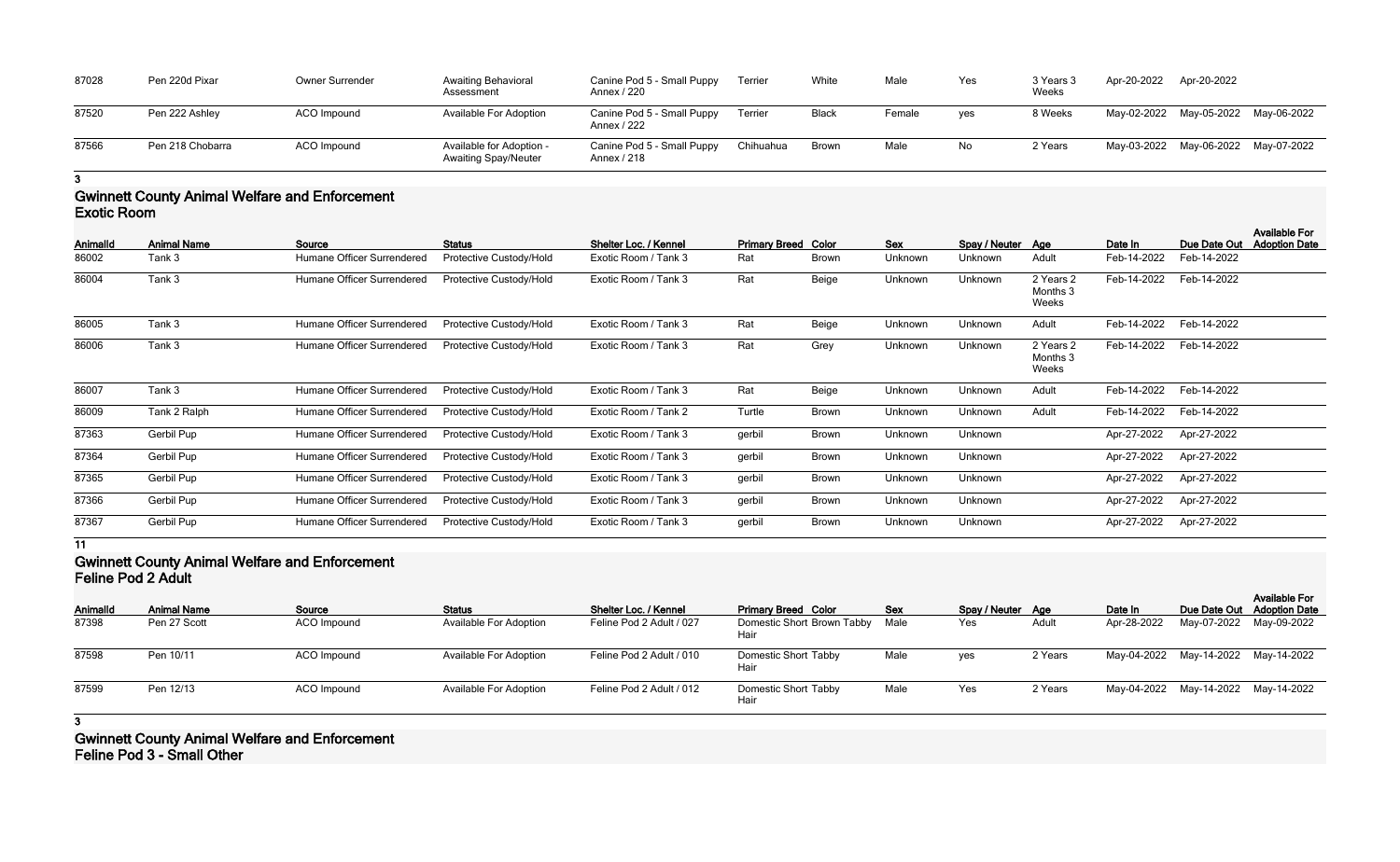| 87028 | Pen 220d Pixar   | Owner Surrender    | <b>Awaiting Behavioral</b><br>Assessment                | Canine Pod 5 - Small Puppy<br>Annex / 220 | Terrier   | White        | Male   | Yes | 3 Years 3<br>Weeks | Apr-20-2022             | Apr-20-2022 |             |
|-------|------------------|--------------------|---------------------------------------------------------|-------------------------------------------|-----------|--------------|--------|-----|--------------------|-------------------------|-------------|-------------|
| 87520 | Pen 222 Ashley   | ACO Impound        | Available For Adoption                                  | Canine Pod 5 - Small Puppy<br>Annex / 222 | Terrier   | <b>Black</b> | Female | yes | 8 Weeks            | May-02-2022 May-05-2022 |             | May-06-2022 |
| 87566 | Pen 218 Chobarra | <b>ACO</b> Impound | Available for Adoption -<br><b>Awaiting Spay/Neuter</b> | Canine Pod 5 - Small Puppy<br>Annex / 218 | Chihuahua | Brown        | Male   | No  | 2 Years            | May-03-2022 May-06-2022 |             | May-07-2022 |

## **Gwinnett County Animal Welfare and Enforcement Exotic Room**

| AnimalId | <b>Animal Name</b> | Source                     | <b>Status</b>           | Shelter Loc. / Kennel | <b>Primary Breed Color</b> |              | Sex     | Spay / Neuter Age |                                | Date In     | Due Date Out | <b>Available For</b><br><b>Adoption Date</b> |
|----------|--------------------|----------------------------|-------------------------|-----------------------|----------------------------|--------------|---------|-------------------|--------------------------------|-------------|--------------|----------------------------------------------|
| 86002    | Tank 3             | Humane Officer Surrendered | Protective Custody/Hold | Exotic Room / Tank 3  | Rat                        | <b>Brown</b> | Unknown | Unknown           | Adult                          | Feb-14-2022 | Feb-14-2022  |                                              |
| 86004    | Tank 3             | Humane Officer Surrendered | Protective Custody/Hold | Exotic Room / Tank 3  | Rat                        | Beige        | Unknown | Unknown           | 2 Years 2<br>Months 3<br>Weeks | Feb-14-2022 | Feb-14-2022  |                                              |
| 86005    | Tank 3             | Humane Officer Surrendered | Protective Custody/Hold | Exotic Room / Tank 3  | Rat                        | Beige        | Unknown | Unknown           | Adult                          | Feb-14-2022 | Feb-14-2022  |                                              |
| 86006    | Tank 3             | Humane Officer Surrendered | Protective Custody/Hold | Exotic Room / Tank 3  | Rat                        | Grey         | Unknown | Unknown           | 2 Years 2<br>Months 3<br>Weeks | Feb-14-2022 | Feb-14-2022  |                                              |
| 86007    | Tank 3             | Humane Officer Surrendered | Protective Custody/Hold | Exotic Room / Tank 3  | Rat                        | Beige        | Unknown | Unknown           | Adult                          | Feb-14-2022 | Feb-14-2022  |                                              |
| 86009    | Tank 2 Ralph       | Humane Officer Surrendered | Protective Custody/Hold | Exotic Room / Tank 2  | Turtle                     | <b>Brown</b> | Unknown | Unknown           | Adult                          | Feb-14-2022 | Feb-14-2022  |                                              |
| 87363    | Gerbil Pup         | Humane Officer Surrendered | Protective Custody/Hold | Exotic Room / Tank 3  | gerbil                     | <b>Brown</b> | Unknown | Unknown           |                                | Apr-27-2022 | Apr-27-2022  |                                              |
| 87364    | Gerbil Pup         | Humane Officer Surrendered | Protective Custody/Hold | Exotic Room / Tank 3  | gerbil                     | <b>Brown</b> | Unknown | Unknown           |                                | Apr-27-2022 | Apr-27-2022  |                                              |
| 87365    | Gerbil Pup         | Humane Officer Surrendered | Protective Custody/Hold | Exotic Room / Tank 3  | gerbil                     | <b>Brown</b> | Unknown | Unknown           |                                | Apr-27-2022 | Apr-27-2022  |                                              |
| 87366    | Gerbil Pup         | Humane Officer Surrendered | Protective Custody/Hold | Exotic Room / Tank 3  | gerbil                     | <b>Brown</b> | Unknown | Unknown           |                                | Apr-27-2022 | Apr-27-2022  |                                              |
| 87367    | Gerbil Pup         | Humane Officer Surrendered | Protective Custody/Hold | Exotic Room / Tank 3  | gerbil                     | <b>Brown</b> | Unknown | Unknown           |                                | Apr-27-2022 | Apr-27-2022  |                                              |

**11**

## **Gwinnett County Animal Welfare and Enforcement Feline Pod 2 Adult**

| <b>Feline Pod 2 Adult</b> |                    |                    |                               |                          |                                     |      |                   |         |             |                                     |                      |
|---------------------------|--------------------|--------------------|-------------------------------|--------------------------|-------------------------------------|------|-------------------|---------|-------------|-------------------------------------|----------------------|
| <b>AnimalId</b>           | <b>Animal Name</b> | Source             | <b>Status</b>                 | Shelter Loc. / Kennel    | <b>Primary Breed Color</b>          | Sex  | Spay / Neuter Age |         | Date In     | Due Date Out Adoption Date          | <b>Available For</b> |
| 87398                     | Pen 27 Scott       | ACO Impound        | <b>Available For Adoption</b> | Feline Pod 2 Adult / 027 | Domestic Short Brown Tabby<br>Hair  | Male | Yes               | Adult   | Apr-28-2022 | May-07-2022 May-09-2022             |                      |
| 87598                     | Pen 10/11          | ACO Impound        | <b>Available For Adoption</b> | Feline Pod 2 Adult / 010 | <b>Domestic Short Tabby</b><br>Hair | Male | yes               | 2 Years |             | May-04-2022 May-14-2022 May-14-2022 |                      |
| 87599                     | Pen 12/13          | <b>ACO</b> Impound | <b>Available For Adoption</b> | Feline Pod 2 Adult / 012 | <b>Domestic Short Tabby</b><br>Hair | Male | Yes               | 2 Years |             | May-04-2022 May-14-2022 May-14-2022 |                      |

**3**

**Gwinnett County Animal Welfare and Enforcement Feline Pod 3 - Small Other**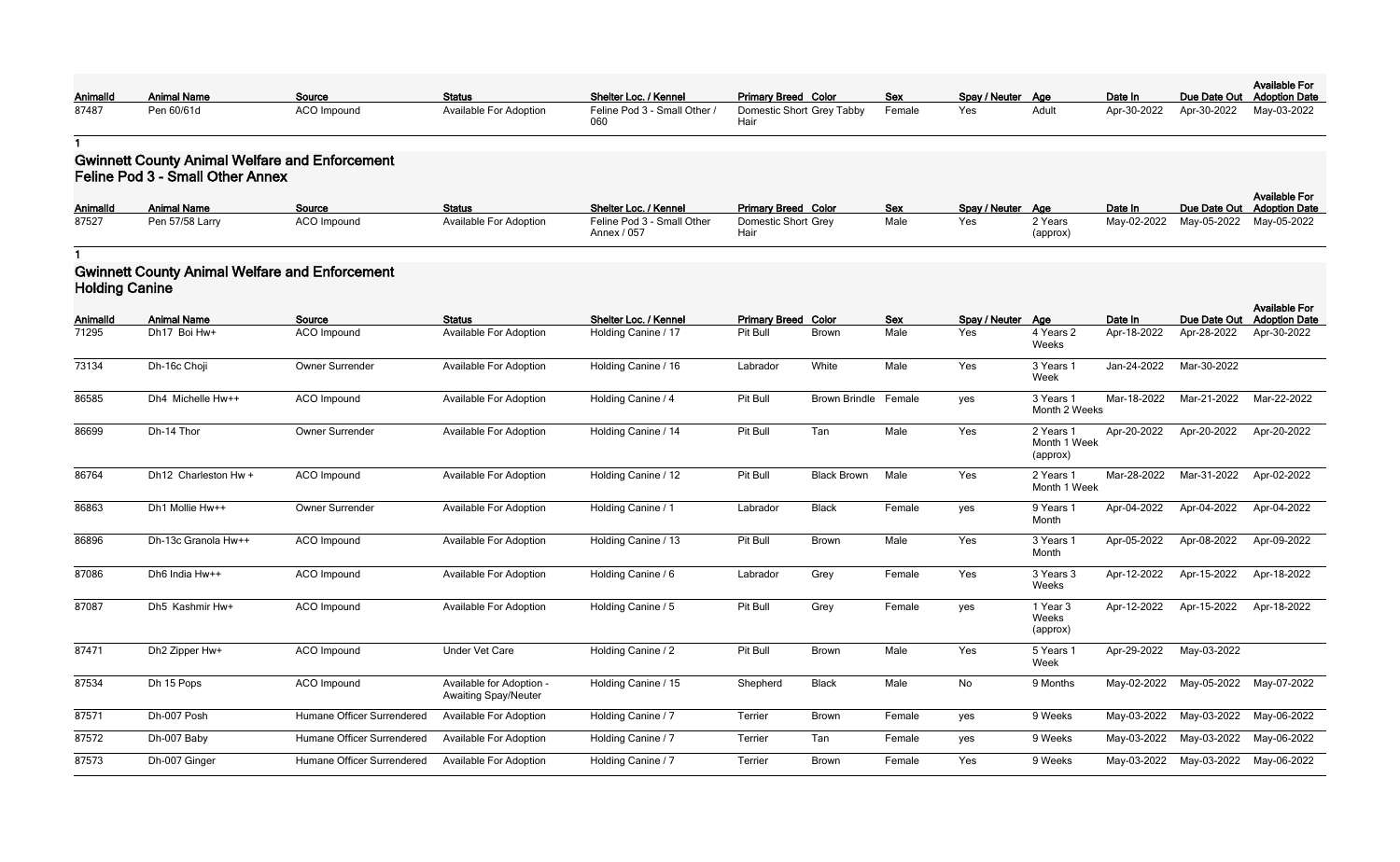|          |                    |             |                               |                              |                                  |     |                   |       |         |                                     | <b>Available For</b>       |
|----------|--------------------|-------------|-------------------------------|------------------------------|----------------------------------|-----|-------------------|-------|---------|-------------------------------------|----------------------------|
| Animalld | <b>Animal Name</b> | Source      | <b>Status</b>                 | Shelter Loc. / Kennel        | <b>Primary Breed Color</b>       | Sex | Spay / Neuter Age |       | Date In |                                     | Due Date Out Adoption Date |
| 87487    | Pen 60/61d         | ACO Impound | <b>Available For Adoption</b> | Feline Pod 3 - Small Other / | Domestic Short Grey Tabby Female |     | Yes               | Adult |         | Apr-30-2022 Apr-30-2022 May-03-2022 |                            |
|          |                    |             |                               |                              | Hai                              |     |                   |       |         |                                     |                            |

#### **Gwinnett County Animal Welfare and Enforcement Feline Pod 3 - Small Other Annex**

| <b>AnimalId</b> | <b>Animal Name</b> | Source             | <b>Status</b>                 | <b>Shelter Loc. / Kennel</b>              | <b>Primary Breed Color</b>  | <b>Sex</b> | Spay / Neuter Age |                     | Date In     |                         | <b>Available For</b><br>Due Date Out Adoption Date |
|-----------------|--------------------|--------------------|-------------------------------|-------------------------------------------|-----------------------------|------------|-------------------|---------------------|-------------|-------------------------|----------------------------------------------------|
| 87527           | Pen 57/58 Larry    | <b>ACO Impound</b> | <b>Available For Adoption</b> | Feline Pod 3 - Small Other<br>Annex / 057 | Domestic Short Grey<br>Haiı | Male       | Yes               | 2 Years<br>(approx) | May-02-2022 | May-05-2022 May-05-2022 |                                                    |

**1**

#### **Gwinnett County Animal Welfare and Enforcement Holding Canine**

| <b>AnimalId</b> | <b>Animal Name</b>   | Source                     | <b>Status</b>                                           | Shelter Loc. / Kennel | <b>Primary Breed Color</b> |                      | <b>Sex</b> | Spay / Neuter Age |                                       | Date In     | Due Date Out | <b>Available For</b><br><b>Adoption Date</b> |
|-----------------|----------------------|----------------------------|---------------------------------------------------------|-----------------------|----------------------------|----------------------|------------|-------------------|---------------------------------------|-------------|--------------|----------------------------------------------|
| 71295           | Dh17 Boi Hw+         | <b>ACO</b> Impound         | <b>Available For Adoption</b>                           | Holding Canine / 17   | Pit Bull                   | <b>Brown</b>         | Male       | Yes               | 4 Years 2<br>Weeks                    | Apr-18-2022 | Apr-28-2022  | Apr-30-2022                                  |
| 73134           | Dh-16c Choji         | Owner Surrender            | <b>Available For Adoption</b>                           | Holding Canine / 16   | Labrador                   | White                | Male       | Yes               | 3 Years 1<br>Week                     | Jan-24-2022 | Mar-30-2022  |                                              |
| 86585           | Dh4 Michelle Hw++    | ACO Impound                | <b>Available For Adoption</b>                           | Holding Canine / 4    | Pit Bull                   | <b>Brown Brindle</b> | Female     | yes               | 3 Years 1<br>Month 2 Weeks            | Mar-18-2022 | Mar-21-2022  | Mar-22-2022                                  |
| 86699           | Dh-14 Thor           | Owner Surrender            | <b>Available For Adoption</b>                           | Holding Canine / 14   | Pit Bull                   | Tan                  | Male       | Yes               | 2 Years 1<br>Month 1 Week<br>(approx) | Apr-20-2022 | Apr-20-2022  | Apr-20-2022                                  |
| 86764           | Dh12 Charleston Hw + | ACO Impound                | <b>Available For Adoption</b>                           | Holding Canine / 12   | Pit Bull                   | <b>Black Brown</b>   | Male       | Yes               | 2 Years 1<br>Month 1 Week             | Mar-28-2022 | Mar-31-2022  | Apr-02-2022                                  |
| 86863           | Dh1 Mollie Hw++      | Owner Surrender            | <b>Available For Adoption</b>                           | Holding Canine / 1    | Labrador                   | <b>Black</b>         | Female     | yes               | 9 Years 1<br>Month                    | Apr-04-2022 | Apr-04-2022  | Apr-04-2022                                  |
| 86896           | Dh-13c Granola Hw++  | <b>ACO</b> Impound         | <b>Available For Adoption</b>                           | Holding Canine / 13   | Pit Bull                   | Brown                | Male       | Yes               | 3 Years 1<br>Month                    | Apr-05-2022 | Apr-08-2022  | Apr-09-2022                                  |
| 87086           | Dh6 India Hw++       | <b>ACO</b> Impound         | <b>Available For Adoption</b>                           | Holding Canine / 6    | Labrador                   | Grey                 | Female     | Yes               | 3 Years 3<br>Weeks                    | Apr-12-2022 | Apr-15-2022  | Apr-18-2022                                  |
| 87087           | Dh5 Kashmir Hw+      | <b>ACO</b> Impound         | <b>Available For Adoption</b>                           | Holding Canine / 5    | Pit Bull                   | Grey                 | Female     | yes               | 1 Year 3<br>Weeks<br>(approx)         | Apr-12-2022 | Apr-15-2022  | Apr-18-2022                                  |
| 87471           | Dh2 Zipper Hw+       | <b>ACO</b> Impound         | <b>Under Vet Care</b>                                   | Holding Canine / 2    | Pit Bull                   | Brown                | Male       | Yes               | 5 Years 1<br>Week                     | Apr-29-2022 | May-03-2022  |                                              |
| 87534           | Dh 15 Pops           | ACO Impound                | Available for Adoption -<br><b>Awaiting Spay/Neuter</b> | Holding Canine / 15   | Shepherd                   | <b>Black</b>         | Male       | No                | 9 Months                              | May-02-2022 | May-05-2022  | May-07-2022                                  |
| 87571           | Dh-007 Posh          | Humane Officer Surrendered | <b>Available For Adoption</b>                           | Holding Canine / 7    | Terrier                    | Brown                | Female     | yes               | 9 Weeks                               | May-03-2022 | May-03-2022  | May-06-2022                                  |
| 87572           | Dh-007 Baby          | Humane Officer Surrendered | <b>Available For Adoption</b>                           | Holding Canine / 7    | Terrier                    | Tan                  | Female     | yes               | 9 Weeks                               | May-03-2022 | May-03-2022  | May-06-2022                                  |
| 87573           | Dh-007 Ginger        | Humane Officer Surrendered | <b>Available For Adoption</b>                           | Holding Canine / 7    | Terrier                    | <b>Brown</b>         | Female     | Yes               | 9 Weeks                               | May-03-2022 | May-03-2022  | May-06-2022                                  |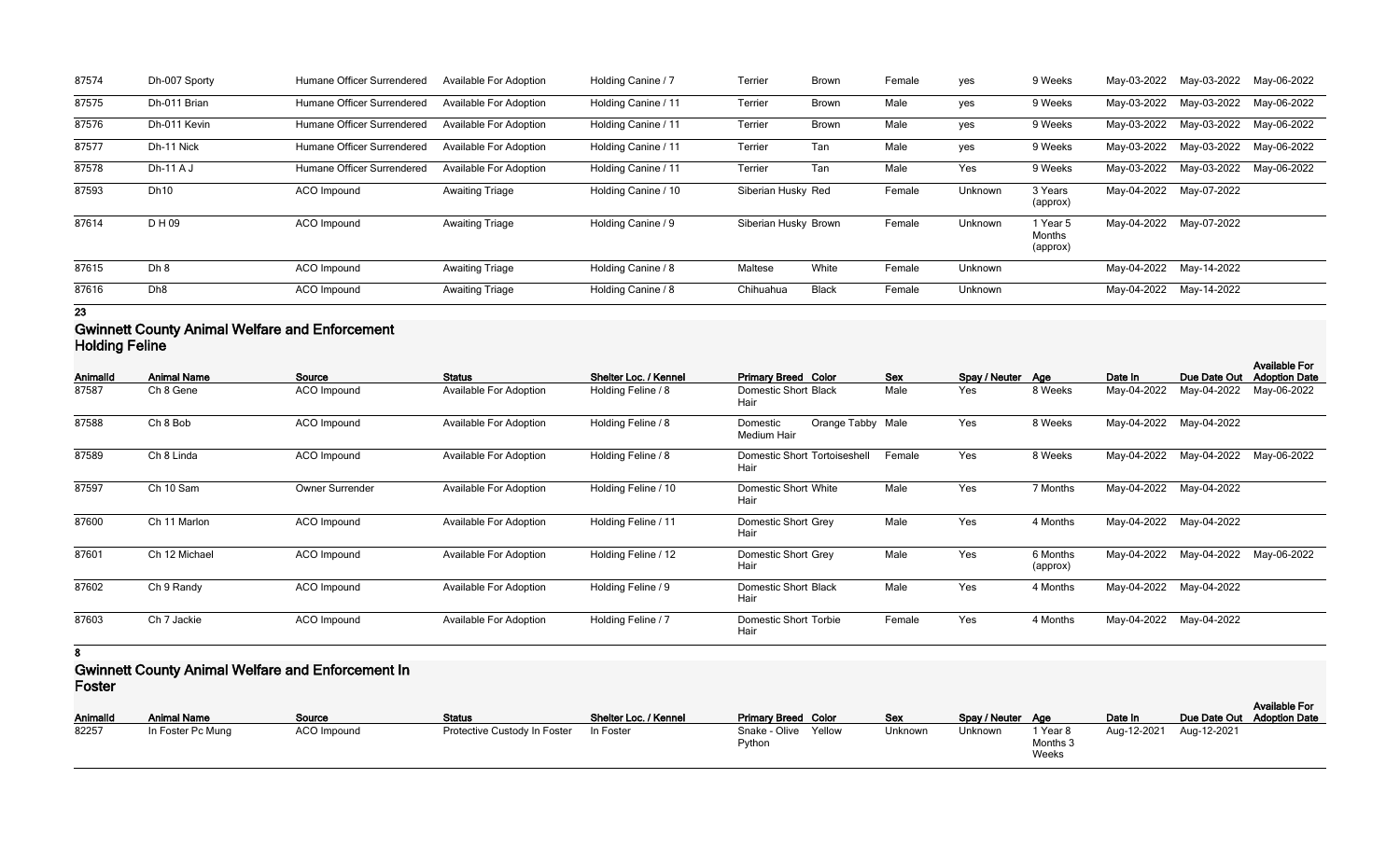| 87574 | Dh-007 Sporty   | Humane Officer Surrendered | <b>Available For Adoption</b> | Holding Canine / 7  | Terrier              | <b>Brown</b> | Female | yes     | 9 Weeks                        | May-03-2022 | May-03-2022 | May-06-2022 |
|-------|-----------------|----------------------------|-------------------------------|---------------------|----------------------|--------------|--------|---------|--------------------------------|-------------|-------------|-------------|
| 87575 | Dh-011 Brian    | Humane Officer Surrendered | <b>Available For Adoption</b> | Holding Canine / 11 | Terrier              | <b>Brown</b> | Male   | yes     | 9 Weeks                        | May-03-2022 | May-03-2022 | May-06-2022 |
| 87576 | Dh-011 Kevin    | Humane Officer Surrendered | <b>Available For Adoption</b> | Holding Canine / 11 | Terrier              | <b>Brown</b> | Male   | yes     | 9 Weeks                        | May-03-2022 | May-03-2022 | May-06-2022 |
| 87577 | Dh-11 Nick      | Humane Officer Surrendered | <b>Available For Adoption</b> | Holding Canine / 11 | Terrier              | Tan          | Male   | yes     | 9 Weeks                        | May-03-2022 | May-03-2022 | May-06-2022 |
| 87578 | $Dh-11AJ$       | Humane Officer Surrendered | <b>Available For Adoption</b> | Holding Canine / 11 | Terrier              | Tan          | Male   | Yes     | 9 Weeks                        | May-03-2022 | May-03-2022 | May-06-2022 |
| 87593 | <b>Dh10</b>     | ACO Impound                | <b>Awaiting Triage</b>        | Holding Canine / 10 | Siberian Husky Red   |              | Female | Unknown | 3 Years<br>(approx)            | May-04-2022 | May-07-2022 |             |
| 87614 | D H 09          | ACO Impound                | <b>Awaiting Triage</b>        | Holding Canine / 9  | Siberian Husky Brown |              | Female | Unknown | 1 Year 5<br>Months<br>(approx) | May-04-2022 | May-07-2022 |             |
| 87615 | Dh 8            | ACO Impound                | <b>Awaiting Triage</b>        | Holding Canine / 8  | Maltese              | White        | Female | Unknown |                                | May-04-2022 | May-14-2022 |             |
| 87616 | Dh <sub>8</sub> | ACO Impound                | <b>Awaiting Triage</b>        | Holding Canine / 8  | Chihuahua            | <b>Black</b> | Female | Unknown |                                | May-04-2022 | May-14-2022 |             |
| 23    |                 |                            |                               |                     |                      |              |        |         |                                |             |             |             |

### **Gwinnett County Animal Welfare and Enforcement Holding Feline**

| <b>AnimalId</b> | <b>Animal Name</b> | Source             | <b>Status</b>                 | Shelter Loc. / Kennel | <b>Primary Breed Color</b>                   | <b>Sex</b> | Spay / Neuter Age |                      | Date In     | Due Date Out            | <b>Available For</b><br><b>Adoption Date</b> |
|-----------------|--------------------|--------------------|-------------------------------|-----------------------|----------------------------------------------|------------|-------------------|----------------------|-------------|-------------------------|----------------------------------------------|
| 87587           | Ch 8 Gene          | ACO Impound        | <b>Available For Adoption</b> | Holding Feline / 8    | <b>Domestic Short Black</b><br>Hair          | Male       | Yes               | 8 Weeks              | May-04-2022 | May-04-2022             | May-06-2022                                  |
| 87588           | Ch 8 Bob           | ACO Impound        | <b>Available For Adoption</b> | Holding Feline / 8    | Orange Tabby Male<br>Domestic<br>Medium Hair |            | Yes               | 8 Weeks              |             | May-04-2022 May-04-2022 |                                              |
| 87589           | Ch 8 Linda         | <b>ACO Impound</b> | <b>Available For Adoption</b> | Holding Feline / 8    | Domestic Short Tortoiseshell<br>Hair         | Female     | Yes               | 8 Weeks              | May-04-2022 | May-04-2022             | May-06-2022                                  |
| 87597           | Ch 10 Sam          | Owner Surrender    | <b>Available For Adoption</b> | Holding Feline / 10   | Domestic Short White<br>Hair                 | Male       | Yes               | 7 Months             | May-04-2022 | May-04-2022             |                                              |
| 87600           | Ch 11 Marlon       | ACO Impound        | <b>Available For Adoption</b> | Holding Feline / 11   | Domestic Short Grey<br>Hair                  | Male       | Yes               | 4 Months             |             | May-04-2022 May-04-2022 |                                              |
| 87601           | Ch 12 Michael      | ACO Impound        | <b>Available For Adoption</b> | Holding Feline / 12   | Domestic Short Grey<br>Hair                  | Male       | Yes               | 6 Months<br>(approx) | May-04-2022 | May-04-2022             | May-06-2022                                  |
| 87602           | Ch 9 Randy         | ACO Impound        | <b>Available For Adoption</b> | Holding Feline / 9    | <b>Domestic Short Black</b><br>Hair          | Male       | Yes               | 4 Months             | May-04-2022 | May-04-2022             |                                              |
| 87603           | Ch 7 Jackie        | ACO Impound        | Available For Adoption        | Holding Feline / 7    | <b>Domestic Short Torbie</b><br>Hair         | Female     | Yes               | 4 Months             | May-04-2022 | May-04-2022             |                                              |

**8**

#### **Gwinnett County Animal Welfare and Enforcement In Foster**

| _______<br><b>AnimalId</b> | <b>Animal Name</b> | <b>Source</b> | <b>Status</b>                | Shelter Loc. / Kennel | <b>Primary Breed Color</b>     | <b>Sex</b> | Spay/Neuter Age |                                          | Date In                 | Due Date Out Adoption Date | <b>Available For</b> |
|----------------------------|--------------------|---------------|------------------------------|-----------------------|--------------------------------|------------|-----------------|------------------------------------------|-------------------------|----------------------------|----------------------|
| 82257                      | In Foster Pc Mung  | ACO Impound   | Protective Custody In Foster | In Foster             | Snake - Olive Yellow<br>Python | Jnknown    | Unknown         | <sup>1</sup> Year 8<br>Months 3<br>Weeks | Aug-12-2021 Aug-12-2021 |                            |                      |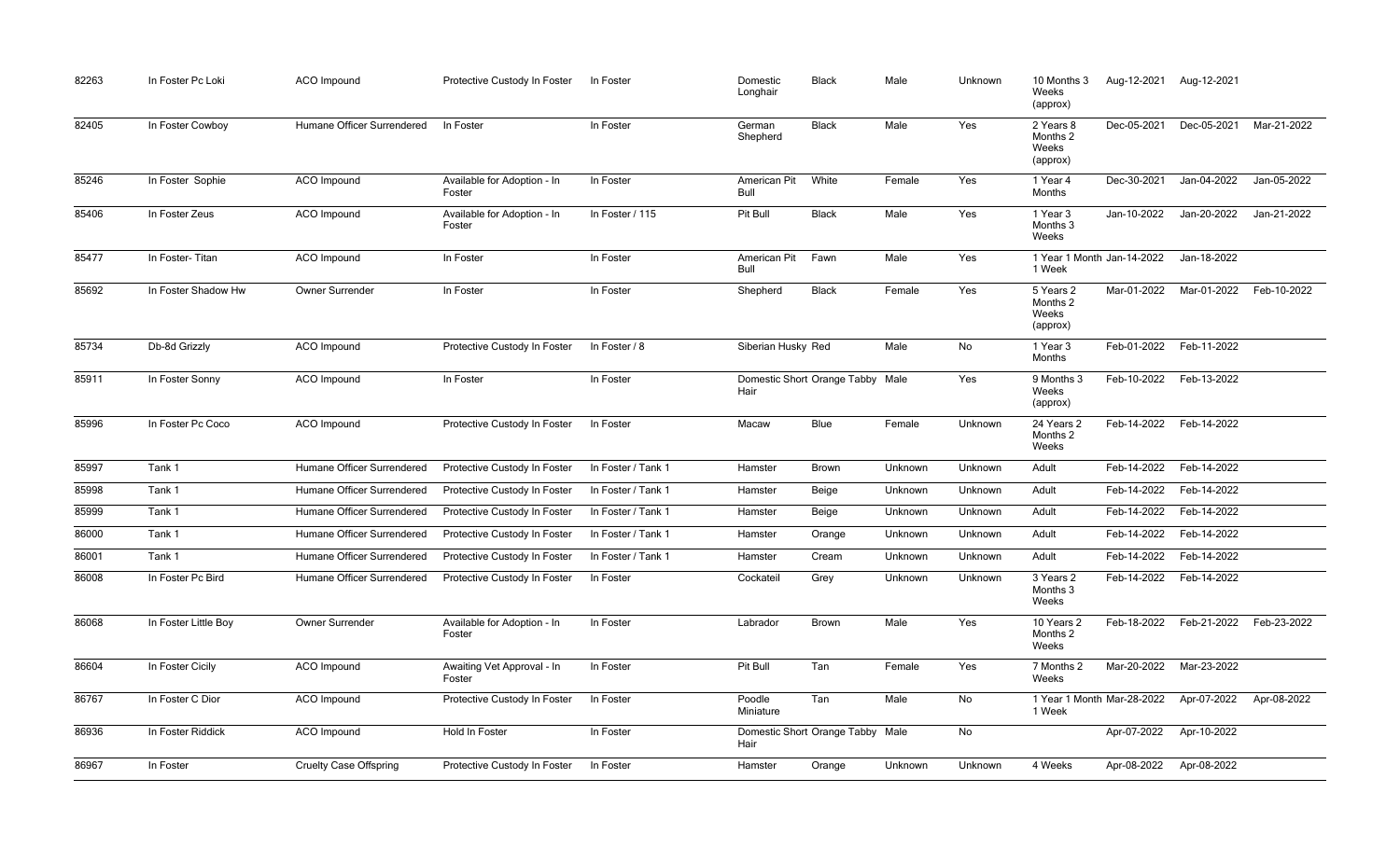| 82263 | In Foster Pc Loki    | <b>ACO</b> Impound            | Protective Custody In Foster          | In Foster          | Domestic<br>Longhair | <b>Black</b>                     | Male    | Unknown | 10 Months 3<br>Weeks<br>(approx)           | Aug-12-2021 | Aug-12-2021             |             |
|-------|----------------------|-------------------------------|---------------------------------------|--------------------|----------------------|----------------------------------|---------|---------|--------------------------------------------|-------------|-------------------------|-------------|
| 82405 | In Foster Cowboy     | Humane Officer Surrendered    | In Foster                             | In Foster          | German<br>Shepherd   | <b>Black</b>                     | Male    | Yes     | 2 Years 8<br>Months 2<br>Weeks<br>(approx) | Dec-05-2021 | Dec-05-2021             | Mar-21-2022 |
| 85246 | In Foster Sophie     | <b>ACO</b> Impound            | Available for Adoption - In<br>Foster | In Foster          | American Pit<br>Bull | White                            | Female  | Yes     | 1 Year 4<br>Months                         | Dec-30-2021 | Jan-04-2022             | Jan-05-2022 |
| 85406 | In Foster Zeus       | ACO Impound                   | Available for Adoption - In<br>Foster | In Foster / 115    | Pit Bull             | <b>Black</b>                     | Male    | Yes     | 1 Year 3<br>Months 3<br>Weeks              | Jan-10-2022 | Jan-20-2022             | Jan-21-2022 |
| 85477 | In Foster-Titan      | ACO Impound                   | In Foster                             | In Foster          | American Pit<br>Bull | Fawn                             | Male    | Yes     | 1 Year 1 Month Jan-14-2022<br>1 Week       |             | Jan-18-2022             |             |
| 85692 | In Foster Shadow Hw  | Owner Surrender               | In Foster                             | In Foster          | Shepherd             | <b>Black</b>                     | Female  | Yes     | 5 Years 2<br>Months 2<br>Weeks<br>(approx) | Mar-01-2022 | Mar-01-2022             | Feb-10-2022 |
| 85734 | Db-8d Grizzly        | <b>ACO</b> Impound            | Protective Custody In Foster          | In Foster / 8      | Siberian Husky Red   |                                  | Male    | No      | 1 Year 3<br>Months                         | Feb-01-2022 | Feb-11-2022             |             |
| 85911 | In Foster Sonny      | ACO Impound                   | In Foster                             | In Foster          | Hair                 | Domestic Short Orange Tabby Male |         | Yes     | 9 Months 3<br>Weeks<br>(approx)            | Feb-10-2022 | Feb-13-2022             |             |
| 85996 | In Foster Pc Coco    | <b>ACO</b> Impound            | Protective Custody In Foster          | In Foster          | Macaw                | Blue                             | Female  | Unknown | 24 Years 2<br>Months 2<br>Weeks            | Feb-14-2022 | Feb-14-2022             |             |
| 85997 | Tank 1               | Humane Officer Surrendered    | Protective Custody In Foster          | In Foster / Tank 1 | Hamster              | <b>Brown</b>                     | Unknown | Unknown | Adult                                      | Feb-14-2022 | Feb-14-2022             |             |
| 85998 | Tank 1               | Humane Officer Surrendered    | Protective Custody In Foster          | In Foster / Tank 1 | Hamster              | Beige                            | Unknown | Unknown | Adult                                      | Feb-14-2022 | Feb-14-2022             |             |
| 85999 | Tank 1               | Humane Officer Surrendered    | Protective Custody In Foster          | In Foster / Tank 1 | Hamster              | Beige                            | Unknown | Unknown | Adult                                      | Feb-14-2022 | Feb-14-2022             |             |
| 86000 | Tank 1               | Humane Officer Surrendered    | Protective Custody In Foster          | In Foster / Tank 1 | Hamster              | Orange                           | Unknown | Unknown | Adult                                      |             | Feb-14-2022 Feb-14-2022 |             |
| 86001 | Tank 1               | Humane Officer Surrendered    | Protective Custody In Foster          | In Foster / Tank 1 | Hamster              | Cream                            | Unknown | Unknown | Adult                                      | Feb-14-2022 | Feb-14-2022             |             |
| 86008 | In Foster Pc Bird    | Humane Officer Surrendered    | Protective Custody In Foster          | In Foster          | Cockateil            | Grey                             | Unknown | Unknown | 3 Years 2<br>Months 3<br>Weeks             |             | Feb-14-2022 Feb-14-2022 |             |
| 86068 | In Foster Little Boy | Owner Surrender               | Available for Adoption - In<br>Foster | In Foster          | Labrador             | Brown                            | Male    | Yes     | 10 Years 2<br>Months 2<br>Weeks            | Feb-18-2022 | Feb-21-2022             | Feb-23-2022 |
| 86604 | In Foster Cicily     | ACO Impound                   | Awaiting Vet Approval - In<br>Foster  | In Foster          | Pit Bull             | Tan                              | Female  | Yes     | 7 Months 2<br>Weeks                        | Mar-20-2022 | Mar-23-2022             |             |
| 86767 | In Foster C Dior     | ACO Impound                   | Protective Custody In Foster          | In Foster          | Poodle<br>Miniature  | Tan                              | Male    | No      | 1 Year 1 Month Mar-28-2022<br>1 Week       |             | Apr-07-2022             | Apr-08-2022 |
| 86936 | In Foster Riddick    | <b>ACO</b> Impound            | Hold In Foster                        | In Foster          | Hair                 | Domestic Short Orange Tabby Male |         | No      |                                            | Apr-07-2022 | Apr-10-2022             |             |
| 86967 | In Foster            | <b>Cruelty Case Offspring</b> | Protective Custody In Foster          | In Foster          | Hamster              | Orange                           | Unknown | Unknown | 4 Weeks                                    | Apr-08-2022 | Apr-08-2022             |             |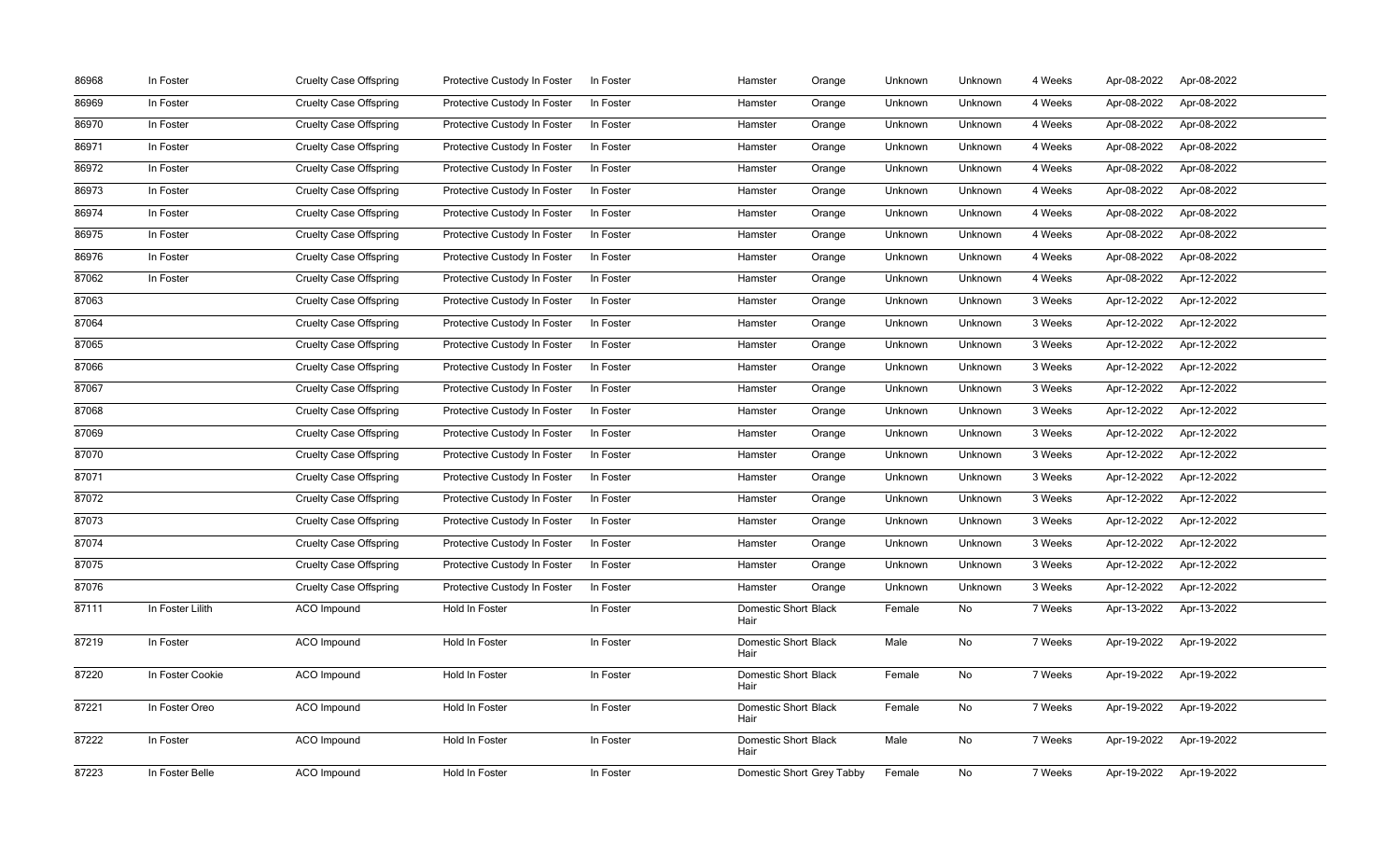| 86968 | In Foster        | <b>Cruelty Case Offspring</b> | Protective Custody In Foster | In Foster | Hamster                             | Orange | Unknown | Unknown | 4 Weeks | Apr-08-2022 | Apr-08-2022 |
|-------|------------------|-------------------------------|------------------------------|-----------|-------------------------------------|--------|---------|---------|---------|-------------|-------------|
| 86969 | In Foster        | <b>Cruelty Case Offspring</b> | Protective Custody In Foster | In Foster | Hamster                             | Orange | Unknown | Unknown | 4 Weeks | Apr-08-2022 | Apr-08-2022 |
| 86970 | In Foster        | <b>Cruelty Case Offspring</b> | Protective Custody In Foster | In Foster | Hamster                             | Orange | Unknown | Unknown | 4 Weeks | Apr-08-2022 | Apr-08-2022 |
| 86971 | In Foster        | <b>Cruelty Case Offspring</b> | Protective Custody In Foster | In Foster | Hamster                             | Orange | Unknown | Unknown | 4 Weeks | Apr-08-2022 | Apr-08-2022 |
| 86972 | In Foster        | <b>Cruelty Case Offspring</b> | Protective Custody In Foster | In Foster | Hamster                             | Orange | Unknown | Unknown | 4 Weeks | Apr-08-2022 | Apr-08-2022 |
| 86973 | In Foster        | <b>Cruelty Case Offspring</b> | Protective Custody In Foster | In Foster | Hamster                             | Orange | Unknown | Unknown | 4 Weeks | Apr-08-2022 | Apr-08-2022 |
| 86974 | In Foster        | <b>Cruelty Case Offspring</b> | Protective Custody In Foster | In Foster | Hamster                             | Orange | Unknown | Unknown | 4 Weeks | Apr-08-2022 | Apr-08-2022 |
| 86975 | In Foster        | <b>Cruelty Case Offspring</b> | Protective Custody In Foster | In Foster | Hamster                             | Orange | Unknown | Unknown | 4 Weeks | Apr-08-2022 | Apr-08-2022 |
| 86976 | In Foster        | <b>Cruelty Case Offspring</b> | Protective Custody In Foster | In Foster | Hamster                             | Orange | Unknown | Unknown | 4 Weeks | Apr-08-2022 | Apr-08-2022 |
| 87062 | In Foster        | <b>Cruelty Case Offspring</b> | Protective Custody In Foster | In Foster | Hamster                             | Orange | Unknown | Unknown | 4 Weeks | Apr-08-2022 | Apr-12-2022 |
| 87063 |                  | <b>Cruelty Case Offspring</b> | Protective Custody In Foster | In Foster | Hamster                             | Orange | Unknown | Unknown | 3 Weeks | Apr-12-2022 | Apr-12-2022 |
| 87064 |                  | <b>Cruelty Case Offspring</b> | Protective Custody In Foster | In Foster | Hamster                             | Orange | Unknown | Unknown | 3 Weeks | Apr-12-2022 | Apr-12-2022 |
| 87065 |                  | <b>Cruelty Case Offspring</b> | Protective Custody In Foster | In Foster | Hamster                             | Orange | Unknown | Unknown | 3 Weeks | Apr-12-2022 | Apr-12-2022 |
| 87066 |                  | <b>Cruelty Case Offspring</b> | Protective Custody In Foster | In Foster | Hamster                             | Orange | Unknown | Unknown | 3 Weeks | Apr-12-2022 | Apr-12-2022 |
| 87067 |                  | <b>Cruelty Case Offspring</b> | Protective Custody In Foster | In Foster | Hamster                             | Orange | Unknown | Unknown | 3 Weeks | Apr-12-2022 | Apr-12-2022 |
| 87068 |                  | <b>Cruelty Case Offspring</b> | Protective Custody In Foster | In Foster | Hamster                             | Orange | Unknown | Unknown | 3 Weeks | Apr-12-2022 | Apr-12-2022 |
| 87069 |                  | <b>Cruelty Case Offspring</b> | Protective Custody In Foster | In Foster | Hamster                             | Orange | Unknown | Unknown | 3 Weeks | Apr-12-2022 | Apr-12-2022 |
| 87070 |                  | <b>Cruelty Case Offspring</b> | Protective Custody In Foster | In Foster | Hamster                             | Orange | Unknown | Unknown | 3 Weeks | Apr-12-2022 | Apr-12-2022 |
| 87071 |                  | <b>Cruelty Case Offspring</b> | Protective Custody In Foster | In Foster | Hamster                             | Orange | Unknown | Unknown | 3 Weeks | Apr-12-2022 | Apr-12-2022 |
| 87072 |                  | <b>Cruelty Case Offspring</b> | Protective Custody In Foster | In Foster | Hamster                             | Orange | Unknown | Unknown | 3 Weeks | Apr-12-2022 | Apr-12-2022 |
| 87073 |                  | <b>Cruelty Case Offspring</b> | Protective Custody In Foster | In Foster | Hamster                             | Orange | Unknown | Unknown | 3 Weeks | Apr-12-2022 | Apr-12-2022 |
| 87074 |                  | <b>Cruelty Case Offspring</b> | Protective Custody In Foster | In Foster | Hamster                             | Orange | Unknown | Unknown | 3 Weeks | Apr-12-2022 | Apr-12-2022 |
| 87075 |                  | <b>Cruelty Case Offspring</b> | Protective Custody In Foster | In Foster | Hamster                             | Orange | Unknown | Unknown | 3 Weeks | Apr-12-2022 | Apr-12-2022 |
| 87076 |                  | <b>Cruelty Case Offspring</b> | Protective Custody In Foster | In Foster | Hamster                             | Orange | Unknown | Unknown | 3 Weeks | Apr-12-2022 | Apr-12-2022 |
| 87111 | In Foster Lilith | ACO Impound                   | Hold In Foster               | In Foster | <b>Domestic Short Black</b><br>Hair |        | Female  | No      | 7 Weeks | Apr-13-2022 | Apr-13-2022 |
| 87219 | In Foster        | ACO Impound                   | Hold In Foster               | In Foster | <b>Domestic Short Black</b><br>Hair |        | Male    | No      | 7 Weeks | Apr-19-2022 | Apr-19-2022 |
| 87220 | In Foster Cookie | ACO Impound                   | Hold In Foster               | In Foster | <b>Domestic Short Black</b><br>Hair |        | Female  | No      | 7 Weeks | Apr-19-2022 | Apr-19-2022 |
| 87221 | In Foster Oreo   | ACO Impound                   | Hold In Foster               | In Foster | <b>Domestic Short Black</b><br>Hair |        | Female  | No      | 7 Weeks | Apr-19-2022 | Apr-19-2022 |
| 87222 | In Foster        | ACO Impound                   | Hold In Foster               | In Foster | <b>Domestic Short Black</b><br>Hair |        | Male    | No      | 7 Weeks | Apr-19-2022 | Apr-19-2022 |
| 87223 | In Foster Belle  | ACO Impound                   | Hold In Foster               | In Foster | Domestic Short Grey Tabby           |        | Female  | No      | 7 Weeks | Apr-19-2022 | Apr-19-2022 |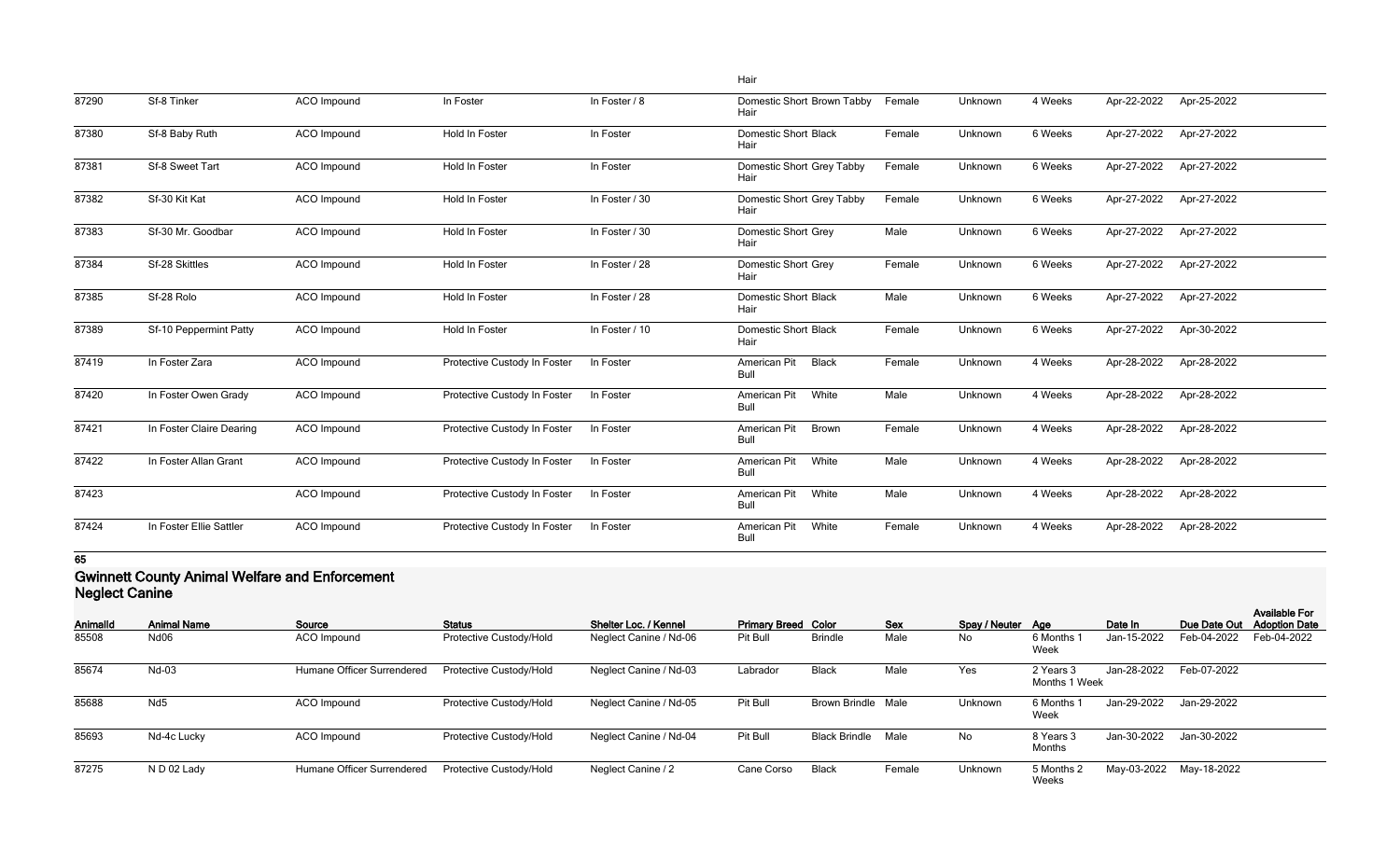|       |                          |                    |                              |                | Hair                                 |        |         |         |             |             |
|-------|--------------------------|--------------------|------------------------------|----------------|--------------------------------------|--------|---------|---------|-------------|-------------|
| 87290 | Sf-8 Tinker              | ACO Impound        | In Foster                    | In Foster / 8  | Domestic Short Brown Tabby<br>Hair   | Female | Unknown | 4 Weeks | Apr-22-2022 | Apr-25-2022 |
| 87380 | Sf-8 Baby Ruth           | ACO Impound        | Hold In Foster               | In Foster      | <b>Domestic Short Black</b><br>Hair  | Female | Unknown | 6 Weeks | Apr-27-2022 | Apr-27-2022 |
| 87381 | Sf-8 Sweet Tart          | ACO Impound        | Hold In Foster               | In Foster      | Domestic Short Grey Tabby<br>Hair    | Female | Unknown | 6 Weeks | Apr-27-2022 | Apr-27-2022 |
| 87382 | Sf-30 Kit Kat            | ACO Impound        | Hold In Foster               | In Foster / 30 | Domestic Short Grey Tabby<br>Hair    | Female | Unknown | 6 Weeks | Apr-27-2022 | Apr-27-2022 |
| 87383 | Sf-30 Mr. Goodbar        | <b>ACO</b> Impound | <b>Hold In Foster</b>        | In Foster / 30 | <b>Domestic Short Grey</b><br>Hair   | Male   | Unknown | 6 Weeks | Apr-27-2022 | Apr-27-2022 |
| 87384 | Sf-28 Skittles           | ACO Impound        | Hold In Foster               | In Foster / 28 | <b>Domestic Short Grey</b><br>Hair   | Female | Unknown | 6 Weeks | Apr-27-2022 | Apr-27-2022 |
| 87385 | Sf-28 Rolo               | ACO Impound        | Hold In Foster               | In Foster / 28 | <b>Domestic Short Black</b><br>Hair  | Male   | Unknown | 6 Weeks | Apr-27-2022 | Apr-27-2022 |
| 87389 | Sf-10 Peppermint Patty   | <b>ACO</b> Impound | Hold In Foster               | In Foster / 10 | <b>Domestic Short Black</b><br>Hair  | Female | Unknown | 6 Weeks | Apr-27-2022 | Apr-30-2022 |
| 87419 | In Foster Zara           | <b>ACO</b> Impound | Protective Custody In Foster | In Foster      | American Pit<br><b>Black</b><br>Bull | Female | Unknown | 4 Weeks | Apr-28-2022 | Apr-28-2022 |
| 87420 | In Foster Owen Grady     | <b>ACO</b> Impound | Protective Custody In Foster | In Foster      | White<br>American Pit<br>Bull        | Male   | Unknown | 4 Weeks | Apr-28-2022 | Apr-28-2022 |
| 87421 | In Foster Claire Dearing | ACO Impound        | Protective Custody In Foster | In Foster      | American Pit<br>Brown<br>Bull        | Female | Unknown | 4 Weeks | Apr-28-2022 | Apr-28-2022 |
| 87422 | In Foster Allan Grant    | ACO Impound        | Protective Custody In Foster | In Foster      | American Pit<br>White<br>Bull        | Male   | Unknown | 4 Weeks | Apr-28-2022 | Apr-28-2022 |
| 87423 |                          | ACO Impound        | Protective Custody In Foster | In Foster      | American Pit<br>White<br>Bull        | Male   | Unknown | 4 Weeks | Apr-28-2022 | Apr-28-2022 |
| 87424 | In Foster Ellie Sattler  | <b>ACO</b> Impound | Protective Custody In Foster | In Foster      | American Pit<br>White<br>Bull        | Female | Unknown | 4 Weeks | Apr-28-2022 | Apr-28-2022 |

#### **Gwinnett County Animal Welfare and Enforcement Neglect Canine**

| Animalld | <b>Animal Name</b> | Source                     | <b>Status</b>           | Shelter Loc. / Kennel  | <b>Primary Breed Color</b> |                           | <b>Sex</b> | Spay / Neuter Age |                            | Date In     | Due Date Out            | <b>Available For</b><br><b>Adoption Date</b> |
|----------|--------------------|----------------------------|-------------------------|------------------------|----------------------------|---------------------------|------------|-------------------|----------------------------|-------------|-------------------------|----------------------------------------------|
| 85508    | Nd06               | ACO Impound                | Protective Custody/Hold | Neglect Canine / Nd-06 | Pit Bull                   | <b>Brindle</b>            | Male       | No                | 6 Months<br>Week           | Jan-15-2022 | Feb-04-2022             | Feb-04-2022                                  |
| 85674    | Nd-03              | Humane Officer Surrendered | Protective Custody/Hold | Neglect Canine / Nd-03 | Labrador                   | <b>Black</b>              | Male       | Yes               | 2 Years 3<br>Months 1 Week | Jan-28-2022 | Feb-07-2022             |                                              |
| 85688    | Nd <sub>5</sub>    | <b>ACO</b> Impound         | Protective Custody/Hold | Neglect Canine / Nd-05 | Pit Bull                   | <b>Brown Brindle Male</b> |            | Unknown           | 6 Months<br>Week           | Jan-29-2022 | Jan-29-2022             |                                              |
| 85693    | Nd-4c Lucky        | <b>ACO</b> Impound         | Protective Custody/Hold | Neglect Canine / Nd-04 | Pit Bull                   | <b>Black Brindle</b>      | Male       | No                | 8 Years 3<br>Months        | Jan-30-2022 | Jan-30-2022             |                                              |
| 87275    | N D 02 Lady        | Humane Officer Surrendered | Protective Custody/Hold | Neglect Canine / 2     | Cane Corso                 | <b>Black</b>              | Female     | Unknown           | 5 Months 2<br><b>Weeks</b> |             | May-03-2022 May-18-2022 |                                              |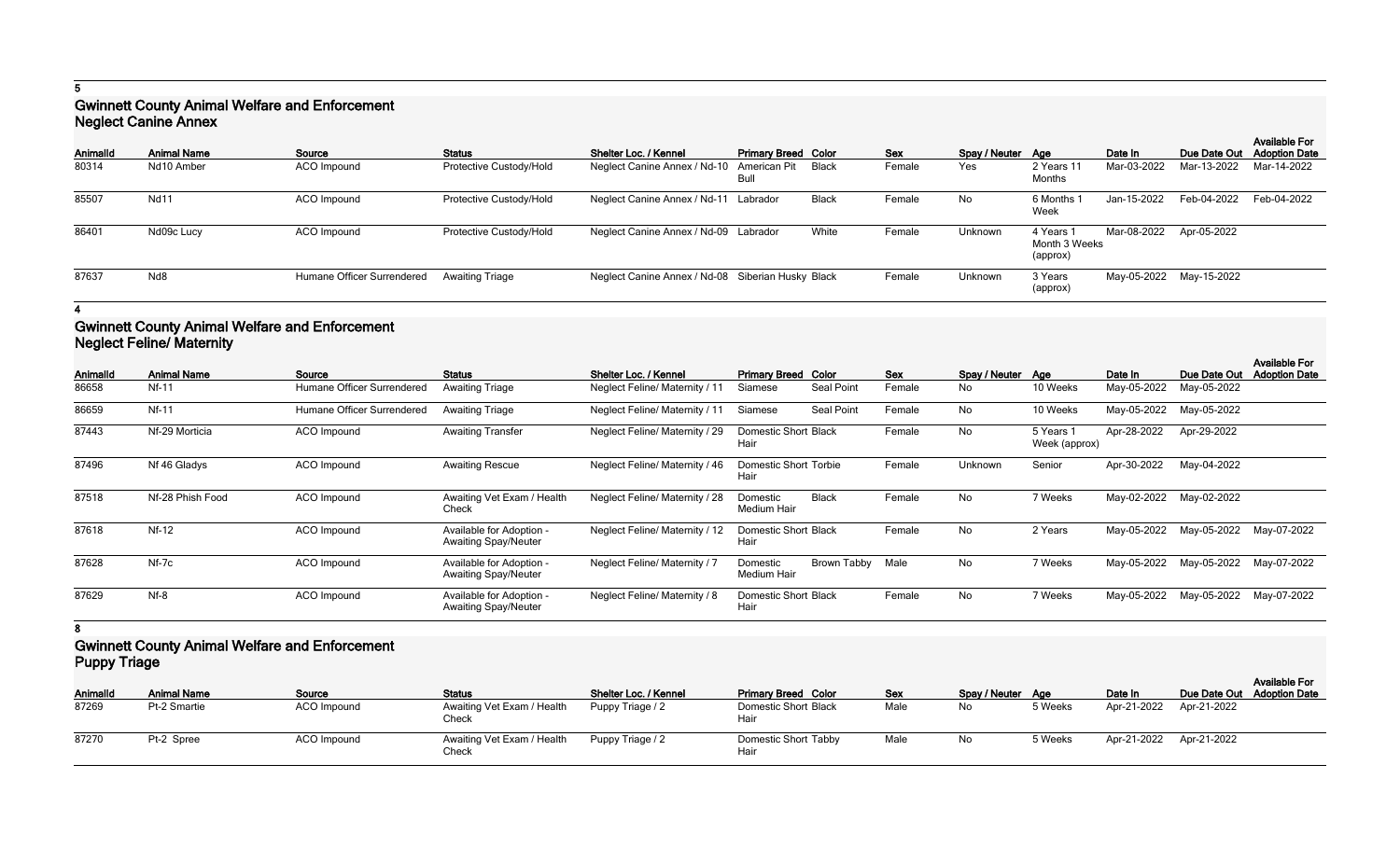## **Gwinnett County Animal Welfare and Enforcement Neglect Canine Annex**

| Animalld | <b>Animal Name</b> | Source                     | <b>Status</b>           | Shelter Loc. / Kennel                             | <b>Primary Breed Color</b> |              | <b>Sex</b> | Spay / Neuter Age |                                        | Date In                 | Due Date Out            | <b>Available For</b><br><b>Adoption Date</b> |
|----------|--------------------|----------------------------|-------------------------|---------------------------------------------------|----------------------------|--------------|------------|-------------------|----------------------------------------|-------------------------|-------------------------|----------------------------------------------|
| 80314    | Nd10 Amber         | ACO Impound                | Protective Custody/Hold | Neglect Canine Annex / Nd-10 American Pit         | Bull                       | Black        | Female     | Yes               | 2 Years 1<br>Months                    | Mar-03-2022             | Mar-13-2022             | Mar-14-2022                                  |
| 85507    | <b>Nd11</b>        | ACO Impound                | Protective Custody/Hold | Neglect Canine Annex / Nd-11 Labrador             |                            | <b>Black</b> | Female     | No                | 6 Months<br>Week                       | Jan-15-2022             | Feb-04-2022             | Feb-04-2022                                  |
| 86401    | Nd09c Lucy         | ACO Impound                | Protective Custody/Hold | Neglect Canine Annex / Nd-09 Labrador             |                            | White        | Female     | Unknown           | 4 Years 1<br>Month 3 Weeks<br>(approx) | Mar-08-2022 Apr-05-2022 |                         |                                              |
| 87637    | Nd8                | Humane Officer Surrendered | <b>Awaiting Triage</b>  | Neglect Canine Annex / Nd-08 Siberian Husky Black |                            |              | Female     | Unknown           | 3 Years<br>(approx)                    |                         | May-05-2022 May-15-2022 |                                              |

#### **4**

## **Gwinnett County Animal Welfare and Enforcement Neglect Feline/ Maternity**

| Animalld | <b>Animal Name</b> | Source                     | <b>Status</b>                                           | Shelter Loc. / Kennel                 | <b>Primary Breed Color</b>          |                    | Sex    | Spay / Neuter | Aae                        | Date In     | Due Date Out | <b>Available For</b><br><b>Adoption Date</b> |
|----------|--------------------|----------------------------|---------------------------------------------------------|---------------------------------------|-------------------------------------|--------------------|--------|---------------|----------------------------|-------------|--------------|----------------------------------------------|
| 86658    | Nf-11              | Humane Officer Surrendered | <b>Awaiting Triage</b>                                  | <b>Neglect Feline/ Maternity / 11</b> | Siamese                             | Seal Point         | Female | No            | 10 Weeks                   | May-05-2022 | May-05-2022  |                                              |
| 86659    | Nf-11              | Humane Officer Surrendered | <b>Awaiting Triage</b>                                  | Neglect Feline/ Maternity / 11        | Siamese                             | Seal Point         | Female | No            | 10 Weeks                   | May-05-2022 | May-05-2022  |                                              |
| 87443    | Nf-29 Morticia     | <b>ACO</b> Impound         | <b>Awaiting Transfer</b>                                | Neglect Feline/ Maternity / 29        | <b>Domestic Short Black</b><br>Hair |                    | Female | No            | 5 Years 1<br>Week (approx) | Apr-28-2022 | Apr-29-2022  |                                              |
| 87496    | Nf 46 Gladys       | <b>ACO</b> Impound         | <b>Awaiting Rescue</b>                                  | Neglect Feline/ Maternity / 46        | Domestic Short Torbie<br>Hair       |                    | Female | Unknown       | Senior                     | Apr-30-2022 | May-04-2022  |                                              |
| 87518    | Nf-28 Phish Food   | <b>ACO</b> Impound         | Awaiting Vet Exam / Health<br>Check                     | <b>Neglect Feline/ Maternity / 28</b> | Domestic<br>Medium Hair             | <b>Black</b>       | Female | No            | 7 Weeks                    | May-02-2022 | May-02-2022  |                                              |
| 87618    | <b>Nf-12</b>       | ACO Impound                | Available for Adoption -<br><b>Awaiting Spay/Neuter</b> | Neglect Feline/ Maternity / 12        | Domestic Short Black<br>Hair        |                    | Female | No            | 2 Years                    | May-05-2022 | May-05-2022  | May-07-2022                                  |
| 87628    | $Nf-7c$            | ACO Impound                | Available for Adoption -<br><b>Awaiting Spay/Neuter</b> | <b>Neglect Feline/ Maternity / 7</b>  | Domestic<br>Medium Hair             | <b>Brown Tabby</b> | Male   | No            | 7 Weeks                    | May-05-2022 | May-05-2022  | May-07-2022                                  |
| 87629    | $Nf-8$             | ACO Impound                | Available for Adoption -<br><b>Awaiting Spay/Neuter</b> | Neglect Feline/ Maternity / 8         | Domestic Short Black<br>Hair        |                    | Female | No            | 7 Weeks                    | May-05-2022 | May-05-2022  | May-07-2022                                  |

**8**

### **Gwinnett County Animal Welfare and Enforcement Puppy Triage**

| Animalld | <b>Animal Name</b> | Source             | <b>Status</b>                       | Shelter Loc. / Kennel | <b>Primary Breed Color</b>   | <b>Sex</b> | Spay / Neuter Age |         | Date In                 |             | <b>Available For</b><br>Due Date Out Adoption Date |
|----------|--------------------|--------------------|-------------------------------------|-----------------------|------------------------------|------------|-------------------|---------|-------------------------|-------------|----------------------------------------------------|
| 87269    | Pt-2 Smartie       | <b>ACO</b> Impound | Awaiting Vet Exam / Health<br>Check | Puppy Triage / 2      | Domestic Short Black<br>Hair | Male       | No                | 5 Weeks | Apr-21-2022             | Apr-21-2022 |                                                    |
| 87270    | Pt-2 Spree         | ACO Impound        | Awaiting Vet Exam / Health<br>Check | Puppy Triage / 2      | Domestic Short Tabby<br>Hair | Male       | No                | 5 Weeks | Apr-21-2022 Apr-21-2022 |             |                                                    |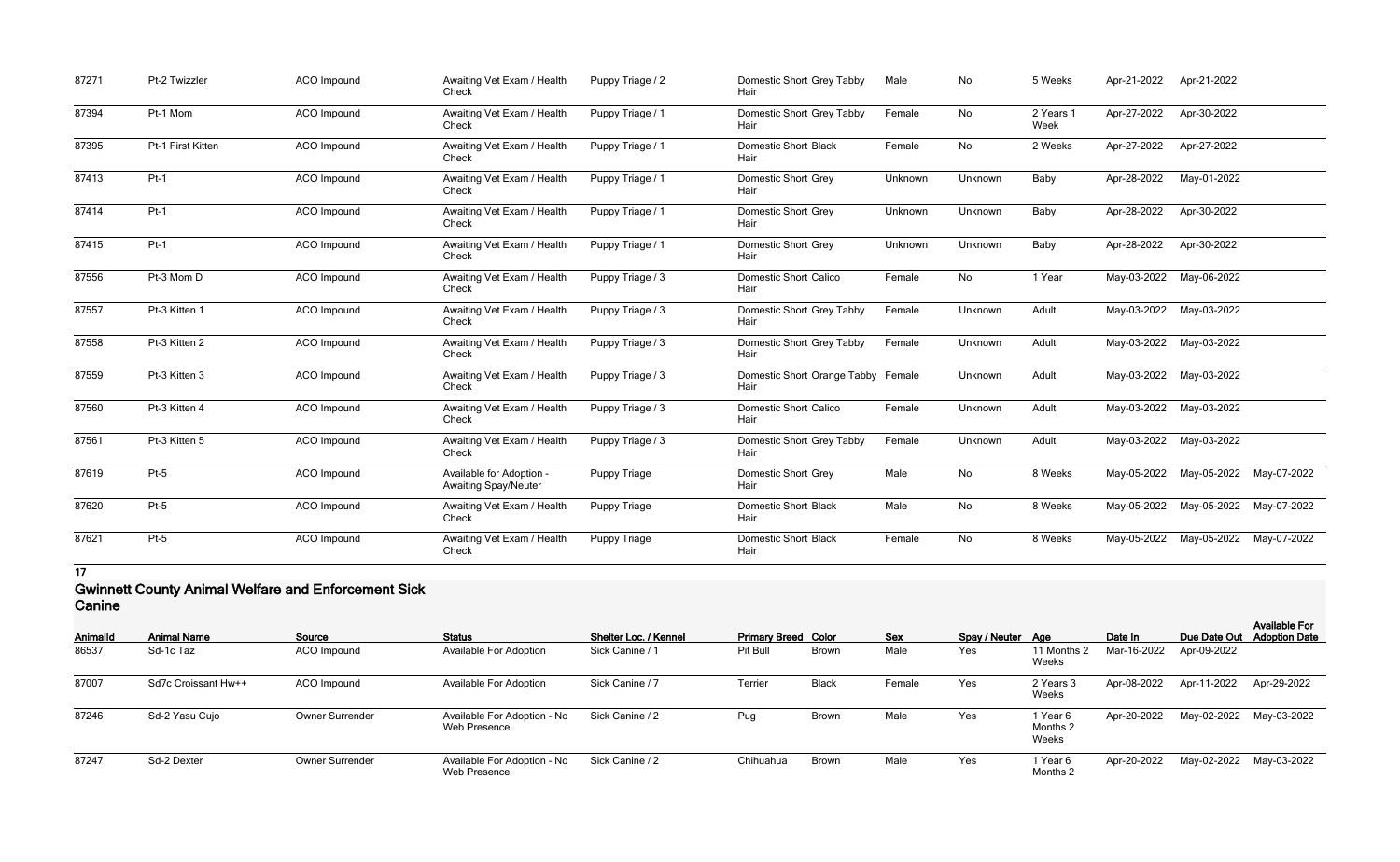| 87271 | Pt-2 Twizzler     | ACO Impound        | Awaiting Vet Exam / Health<br>Check                     | Puppy Triage / 2    | Domestic Short Grey Tabby<br>Hair          | Male    | No        | 5 Weeks           | Apr-21-2022 | Apr-21-2022             |             |
|-------|-------------------|--------------------|---------------------------------------------------------|---------------------|--------------------------------------------|---------|-----------|-------------------|-------------|-------------------------|-------------|
| 87394 | Pt-1 Mom          | ACO Impound        | Awaiting Vet Exam / Health<br>Check                     | Puppy Triage / 1    | Domestic Short Grey Tabby<br>Hair          | Female  | No        | 2 Years 1<br>Week | Apr-27-2022 | Apr-30-2022             |             |
| 87395 | Pt-1 First Kitten | ACO Impound        | Awaiting Vet Exam / Health<br>Check                     | Puppy Triage / 1    | <b>Domestic Short Black</b><br>Hair        | Female  | No        | 2 Weeks           | Apr-27-2022 | Apr-27-2022             |             |
| 87413 | $Pt-1$            | ACO Impound        | Awaiting Vet Exam / Health<br>Check                     | Puppy Triage / 1    | <b>Domestic Short Grey</b><br>Hair         | Unknown | Unknown   | Baby              | Apr-28-2022 | May-01-2022             |             |
| 87414 | $Pt-1$            | ACO Impound        | Awaiting Vet Exam / Health<br>Check                     | Puppy Triage / 1    | <b>Domestic Short Grey</b><br>Hair         | Unknown | Unknown   | Baby              | Apr-28-2022 | Apr-30-2022             |             |
| 87415 | $Pt-1$            | ACO Impound        | Awaiting Vet Exam / Health<br>Check                     | Puppy Triage / 1    | <b>Domestic Short Grey</b><br>Hair         | Unknown | Unknown   | Baby              | Apr-28-2022 | Apr-30-2022             |             |
| 87556 | Pt-3 Mom D        | ACO Impound        | Awaiting Vet Exam / Health<br>Check                     | Puppy Triage / 3    | <b>Domestic Short Calico</b><br>Hair       | Female  | No        | 1 Year            |             | May-03-2022 May-06-2022 |             |
| 87557 | Pt-3 Kitten 1     | <b>ACO</b> Impound | Awaiting Vet Exam / Health<br>Check                     | Puppy Triage / 3    | Domestic Short Grey Tabby<br>Hair          | Female  | Unknown   | Adult             |             | May-03-2022 May-03-2022 |             |
| 87558 | Pt-3 Kitten 2     | ACO Impound        | Awaiting Vet Exam / Health<br>Check                     | Puppy Triage / 3    | Domestic Short Grey Tabby<br>Hair          | Female  | Unknown   | Adult             |             | May-03-2022 May-03-2022 |             |
| 87559 | Pt-3 Kitten 3     | <b>ACO</b> Impound | Awaiting Vet Exam / Health<br>Check                     | Puppy Triage / 3    | Domestic Short Orange Tabby Female<br>Hair |         | Unknown   | Adult             | May-03-2022 | May-03-2022             |             |
| 87560 | Pt-3 Kitten 4     | ACO Impound        | Awaiting Vet Exam / Health<br>Check                     | Puppy Triage / 3    | <b>Domestic Short Calico</b><br>Hair       | Female  | Unknown   | Adult             |             | May-03-2022 May-03-2022 |             |
| 87561 | Pt-3 Kitten 5     | ACO Impound        | Awaiting Vet Exam / Health<br>Check                     | Puppy Triage / 3    | Domestic Short Grey Tabby<br>Hair          | Female  | Unknown   | Adult             | May-03-2022 | May-03-2022             |             |
| 87619 | $Pt-5$            | ACO Impound        | Available for Adoption -<br><b>Awaiting Spay/Neuter</b> | Puppy Triage        | <b>Domestic Short Grey</b><br>Hair         | Male    | No        | 8 Weeks           | May-05-2022 | May-05-2022             | May-07-2022 |
| 87620 | $Pt-5$            | ACO Impound        | Awaiting Vet Exam / Health<br>Check                     | <b>Puppy Triage</b> | <b>Domestic Short Black</b><br>Hair        | Male    | No        | 8 Weeks           | May-05-2022 | May-05-2022             | May-07-2022 |
| 87621 | $Pt-5$            | <b>ACO</b> Impound | Awaiting Vet Exam / Health<br>Check                     | <b>Puppy Triage</b> | <b>Domestic Short Black</b><br>Hair        | Female  | <b>No</b> | 8 Weeks           |             | May-05-2022 May-05-2022 | May-07-2022 |

#### **Gwinnett County Animal Welfare and Enforcement Sick Canine**

| -------         |                     |                        |                                             |                       |                            |              |            |                   |                               |             |              |                                              |
|-----------------|---------------------|------------------------|---------------------------------------------|-----------------------|----------------------------|--------------|------------|-------------------|-------------------------------|-------------|--------------|----------------------------------------------|
| <b>AnimalId</b> | <b>Animal Name</b>  | Source                 | <b>Status</b>                               | Shelter Loc. / Kennel | <b>Primary Breed Color</b> |              | <b>Sex</b> | Spay / Neuter Age |                               | Date In     | Due Date Out | <b>Available For</b><br><b>Adoption Date</b> |
| 86537           | Sd-1c Taz           | ACO Impound            | <b>Available For Adoption</b>               | Sick Canine / 1       | Pit Bull                   | <b>Brown</b> | Male       | Yes               | 11 Months 2<br>Weeks          | Mar-16-2022 | Apr-09-2022  |                                              |
| 87007           | Sd7c Croissant Hw++ | ACO Impound            | <b>Available For Adoption</b>               | Sick Canine / 7       | Terrier                    | <b>Black</b> | Female     | Yes               | 2 Years 3<br>Weeks            | Apr-08-2022 | Apr-11-2022  | Apr-29-2022                                  |
| 87246           | Sd-2 Yasu Cujo      | <b>Owner Surrender</b> | Available For Adoption - No<br>Web Presence | Sick Canine / 2       | Pug                        | <b>Brown</b> | Male       | Yes               | 1 Year 6<br>Months 2<br>Weeks | Apr-20-2022 | May-02-2022  | May-03-2022                                  |
| 87247           | Sd-2 Dexter         | <b>Owner Surrender</b> | Available For Adoption - No<br>Web Presence | Sick Canine / 2       | Chihuahua                  | <b>Brown</b> | Male       | Yes               | 1 Year 6<br>Months 2          | Apr-20-2022 |              | May-02-2022 May-03-2022                      |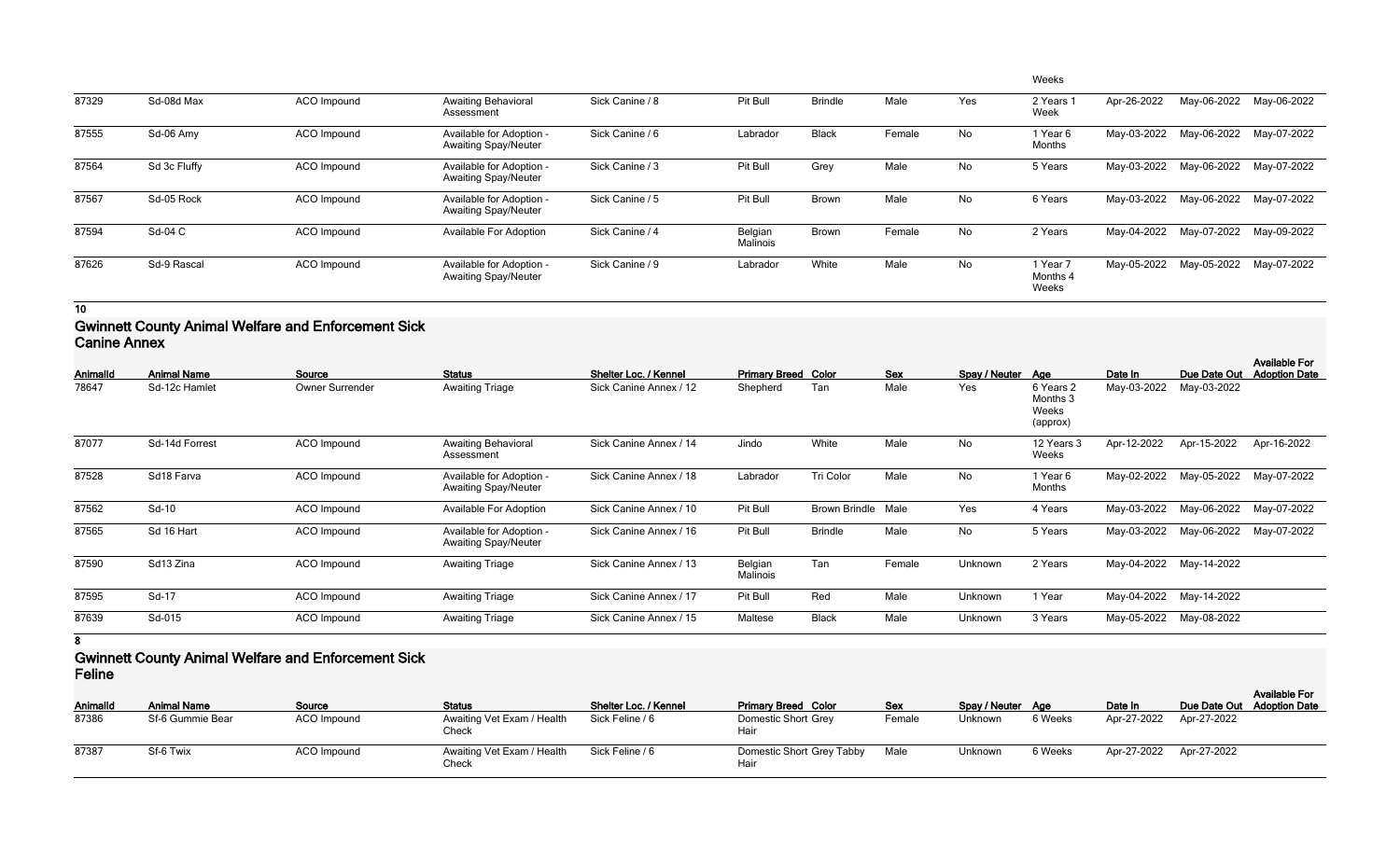|       |              |                    |                                                         |                 |                     |                |        |           | Weeks                         |             |             |             |
|-------|--------------|--------------------|---------------------------------------------------------|-----------------|---------------------|----------------|--------|-----------|-------------------------------|-------------|-------------|-------------|
| 87329 | Sd-08d Max   | ACO Impound        | <b>Awaiting Behavioral</b><br>Assessment                | Sick Canine / 8 | Pit Bull            | <b>Brindle</b> | Male   | Yes       | 2 Years 1<br>Week             | Apr-26-2022 | May-06-2022 | May-06-2022 |
| 87555 | Sd-06 Amy    | <b>ACO</b> Impound | Available for Adoption -<br><b>Awaiting Spay/Neuter</b> | Sick Canine / 6 | Labrador            | <b>Black</b>   | Female | No        | 1 Year 6<br>Months            | May-03-2022 | May-06-2022 | May-07-2022 |
| 87564 | Sd 3c Fluffy | ACO Impound        | Available for Adoption -<br><b>Awaiting Spay/Neuter</b> | Sick Canine / 3 | Pit Bull            | Grey           | Male   | No        | 5 Years                       | May-03-2022 | May-06-2022 | May-07-2022 |
| 87567 | Sd-05 Rock   | ACO Impound        | Available for Adoption -<br><b>Awaiting Spay/Neuter</b> | Sick Canine / 5 | Pit Bull            | <b>Brown</b>   | Male   | No        | 6 Years                       | May-03-2022 | May-06-2022 | May-07-2022 |
| 87594 | Sd-04 C      | ACO Impound        | <b>Available For Adoption</b>                           | Sick Canine / 4 | Belgian<br>Malinois | Brown          | Female | <b>No</b> | 2 Years                       | May-04-2022 | May-07-2022 | May-09-2022 |
| 87626 | Sd-9 Rascal  | <b>ACO</b> Impound | Available for Adoption -<br><b>Awaiting Spay/Neuter</b> | Sick Canine / 9 | Labrador            | White          | Male   | No        | 1 Year 7<br>Months 4<br>Weeks | May-05-2022 | May-05-2022 | May-07-2022 |

### **Gwinnett County Animal Welfare and Enforcement Sick Canine Annex**

| Animalld | <b>Animal Name</b> | Source             | <b>Status</b>                                           | Shelter Loc. / Kennel  | <b>Primary Breed Color</b> |                    | <b>Sex</b> | Spay / Neuter | Aae                                        | Date In     | Due Date Out | <b>Available For</b><br><b>Adoption Date</b> |
|----------|--------------------|--------------------|---------------------------------------------------------|------------------------|----------------------------|--------------------|------------|---------------|--------------------------------------------|-------------|--------------|----------------------------------------------|
| 78647    | Sd-12c Hamlet      | Owner Surrender    | <b>Awaiting Triage</b>                                  | Sick Canine Annex / 12 | Shepherd                   | Tan                | Male       | Yes           | 6 Years 2<br>Months 3<br>Weeks<br>(approx) | May-03-2022 | May-03-2022  |                                              |
| 87077    | Sd-14d Forrest     | <b>ACO</b> Impound | <b>Awaiting Behavioral</b><br>Assessment                | Sick Canine Annex / 14 | Jindo                      | White              | Male       | No            | 12 Years 3<br>Weeks                        | Apr-12-2022 | Apr-15-2022  | Apr-16-2022                                  |
| 87528    | Sd18 Farva         | ACO Impound        | Available for Adoption -<br><b>Awaiting Spay/Neuter</b> | Sick Canine Annex / 18 | Labrador                   | Tri Color          | Male       | No            | 1 Year 6<br>Months                         | May-02-2022 | May-05-2022  | May-07-2022                                  |
| 87562    | Sd-10              | ACO Impound        | Available For Adoption                                  | Sick Canine Annex / 10 | Pit Bull                   | Brown Brindle Male |            | Yes           | 4 Years                                    | May-03-2022 | May-06-2022  | May-07-2022                                  |
| 87565    | Sd 16 Hart         | ACO Impound        | Available for Adoption -<br><b>Awaiting Spay/Neuter</b> | Sick Canine Annex / 16 | Pit Bull                   | <b>Brindle</b>     | Male       | No            | 5 Years                                    | May-03-2022 | May-06-2022  | May-07-2022                                  |
| 87590    | Sd13 Zina          | <b>ACO</b> Impound | <b>Awaiting Triage</b>                                  | Sick Canine Annex / 13 | Belgian<br>Malinois        | Tan                | Female     | Unknown       | 2 Years                                    | May-04-2022 | May-14-2022  |                                              |
| 87595    | Sd-17              | ACO Impound        | <b>Awaiting Triage</b>                                  | Sick Canine Annex / 17 | Pit Bull                   | Red                | Male       | Unknown       | 1 Year                                     | May-04-2022 | May-14-2022  |                                              |
| 87639    | Sd-015             | ACO Impound        | <b>Awaiting Triage</b>                                  | Sick Canine Annex / 15 | Maltese                    | <b>Black</b>       | Male       | Unknown       | 3 Years                                    | May-05-2022 | May-08-2022  |                                              |

**8**

### **Gwinnett County Animal Welfare and Enforcement Sick Feline**

| <b>Feline</b>   |                    |             |                                     |                       |                                   |            |                   |         |         |                         |                                                    |
|-----------------|--------------------|-------------|-------------------------------------|-----------------------|-----------------------------------|------------|-------------------|---------|---------|-------------------------|----------------------------------------------------|
| <b>AnimalId</b> | <b>Animal Name</b> | Source      | <b>Status</b>                       | Shelter Loc. / Kennel | <b>Primary Breed Color</b>        | <b>Sex</b> | Spay / Neuter Age |         | Date In |                         | <b>Available For</b><br>Due Date Out Adoption Date |
| 87386           | Sf-6 Gummie Bear   | ACO Impound | Awaiting Vet Exam / Health<br>Check | Sick Feline / 6       | Domestic Short Grey<br>Hair       | Female     | Unknown           | 6 Weeks |         | Apr-27-2022 Apr-27-2022 |                                                    |
| 87387           | Sf-6 Twix          | ACO Impound | Awaiting Vet Exam / Health<br>Check | Sick Feline / 6       | Domestic Short Grey Tabby<br>Hair | Male       | Unknown           | 6 Weeks |         | Apr-27-2022 Apr-27-2022 |                                                    |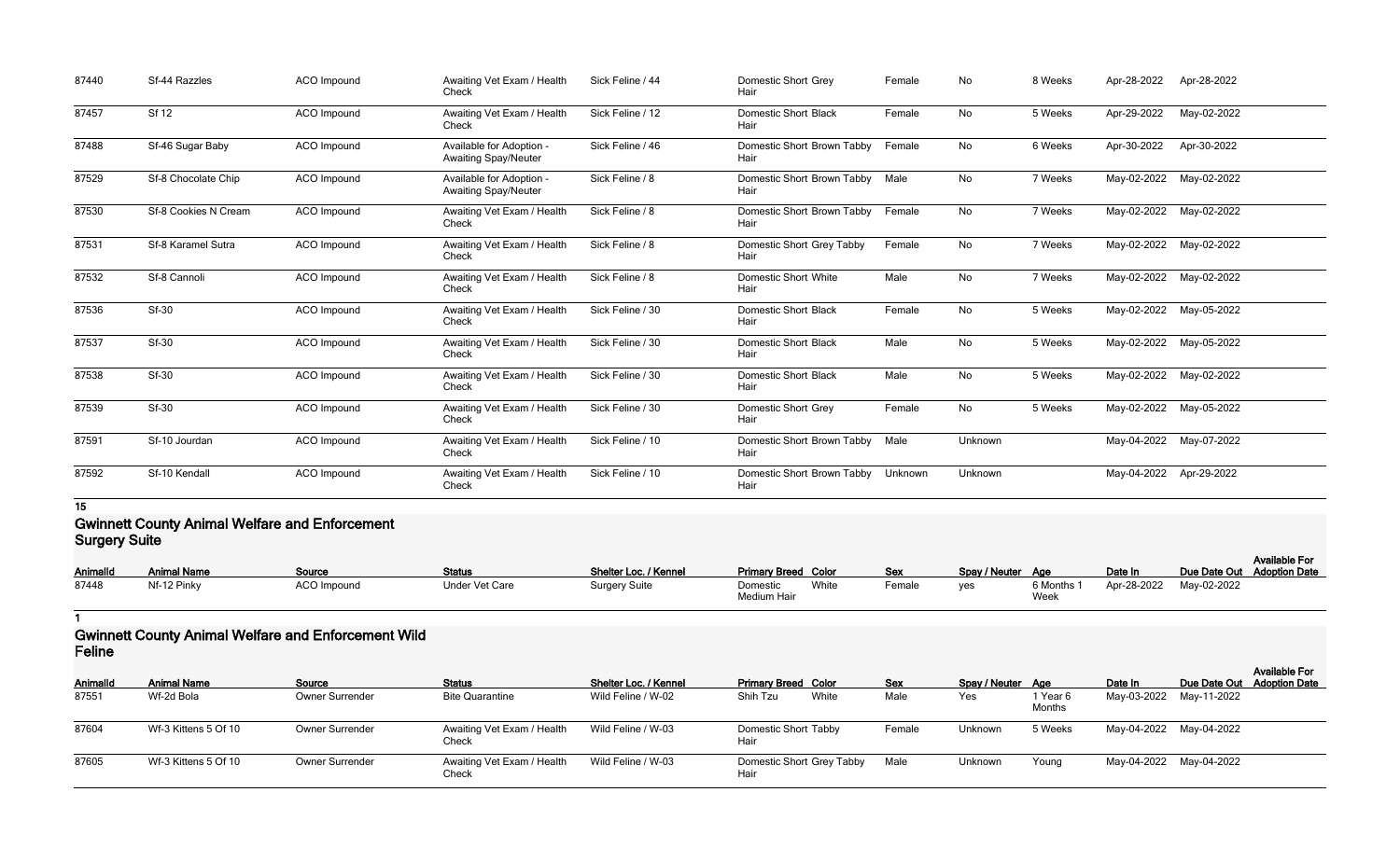| 87440 | Sf-44 Razzles        | <b>ACO</b> Impound | Awaiting Vet Exam / Health<br>Check                     | Sick Feline / 44 | <b>Domestic Short Grey</b><br>Hair  | Female  | No      | 8 Weeks | Apr-28-2022             | Apr-28-2022             |
|-------|----------------------|--------------------|---------------------------------------------------------|------------------|-------------------------------------|---------|---------|---------|-------------------------|-------------------------|
| 87457 | Sf 12                | <b>ACO</b> Impound | Awaiting Vet Exam / Health<br>Check                     | Sick Feline / 12 | <b>Domestic Short Black</b><br>Hair | Female  | No      | 5 Weeks | Apr-29-2022             | May-02-2022             |
| 87488 | Sf-46 Sugar Baby     | ACO Impound        | Available for Adoption -<br><b>Awaiting Spay/Neuter</b> | Sick Feline / 46 | Domestic Short Brown Tabby<br>Hair  | Female  | No      | 6 Weeks | Apr-30-2022             | Apr-30-2022             |
| 87529 | Sf-8 Chocolate Chip  | <b>ACO</b> Impound | Available for Adoption -<br><b>Awaiting Spay/Neuter</b> | Sick Feline / 8  | Domestic Short Brown Tabby<br>Hair  | Male    | No      | 7 Weeks | May-02-2022 May-02-2022 |                         |
| 87530 | Sf-8 Cookies N Cream | ACO Impound        | Awaiting Vet Exam / Health<br>Check                     | Sick Feline / 8  | Domestic Short Brown Tabby<br>Hair  | Female  | No      | 7 Weeks | May-02-2022             | May-02-2022             |
| 87531 | Sf-8 Karamel Sutra   | <b>ACO</b> Impound | Awaiting Vet Exam / Health<br>Check                     | Sick Feline / 8  | Domestic Short Grey Tabby<br>Hair   | Female  | No      | 7 Weeks | May-02-2022             | May-02-2022             |
| 87532 | Sf-8 Cannoli         | ACO Impound        | Awaiting Vet Exam / Health<br>Check                     | Sick Feline / 8  | <b>Domestic Short White</b><br>Hair | Male    | No      | 7 Weeks |                         | May-02-2022 May-02-2022 |
| 87536 | <b>Sf-30</b>         | <b>ACO</b> Impound | Awaiting Vet Exam / Health<br>Check                     | Sick Feline / 30 | <b>Domestic Short Black</b><br>Hair | Female  | No      | 5 Weeks | May-02-2022 May-05-2022 |                         |
| 87537 | <b>Sf-30</b>         | ACO Impound        | Awaiting Vet Exam / Health<br>Check                     | Sick Feline / 30 | <b>Domestic Short Black</b><br>Hair | Male    | No      | 5 Weeks | May-02-2022 May-05-2022 |                         |
| 87538 | <b>Sf-30</b>         | ACO Impound        | Awaiting Vet Exam / Health<br>Check                     | Sick Feline / 30 | <b>Domestic Short Black</b><br>Hair | Male    | No      | 5 Weeks | May-02-2022 May-02-2022 |                         |
| 87539 | Sf-30                | ACO Impound        | Awaiting Vet Exam / Health<br>Check                     | Sick Feline / 30 | <b>Domestic Short Grey</b><br>Hair  | Female  | No      | 5 Weeks | May-02-2022 May-05-2022 |                         |
| 87591 | Sf-10 Jourdan        | ACO Impound        | Awaiting Vet Exam / Health<br>Check                     | Sick Feline / 10 | Domestic Short Brown Tabby<br>Hair  | Male    | Unknown |         | May-04-2022 May-07-2022 |                         |
| 87592 | Sf-10 Kendall        | ACO Impound        | Awaiting Vet Exam / Health<br>Check                     | Sick Feline / 10 | Domestic Short Brown Tabby<br>Hair  | Unknown | Unknown |         | May-04-2022 Apr-29-2022 |                         |

#### **Gwinnett County Animal Welfare and Enforcement Surgery Suite**

|          |                    |                    |                       |                       |                            |       |            |                   |                    |                         |                            | <b>Available For</b> |  |
|----------|--------------------|--------------------|-----------------------|-----------------------|----------------------------|-------|------------|-------------------|--------------------|-------------------------|----------------------------|----------------------|--|
| Animalld | <b>Animal Name</b> | Source             | <b>Status</b>         | Shelter Loc. / Kennel | <b>Primary Breed Color</b> |       | <b>Sex</b> | Spay / Neuter Age |                    | Date In                 | Due Date Out Adoption Date |                      |  |
| 87448    | Nf-12 Pinky        | <b>ACO</b> Impound | <b>Under Vet Care</b> | <b>Surgery Suite</b>  | Domestic<br>Medium Hair    | White | Female     | ves               | 6 Months 1<br>Week | Apr-28-2022 May-02-2022 |                            |                      |  |

#### **1**

### **Gwinnett County Animal Welfare and Enforcement Wild Feline**

| י טווויט |                      |                        |                                     |                              |                                     |            |                   |                    |                         |                                                    |
|----------|----------------------|------------------------|-------------------------------------|------------------------------|-------------------------------------|------------|-------------------|--------------------|-------------------------|----------------------------------------------------|
| AnimalId | <b>Animal Name</b>   | Source                 | <b>Status</b>                       | <b>Shelter Loc. / Kennel</b> | <b>Primary Breed Color</b>          | <b>Sex</b> | Spay / Neuter Age |                    | Date In                 | <b>Available For</b><br>Due Date Out Adoption Date |
| 87551    | Wf-2d Bola           | <b>Owner Surrender</b> | <b>Bite Quarantine</b>              | Wild Feline / W-02           | Shih Tzu<br>White                   | Male       | Yes               | 1 Year 6<br>Months | May-03-2022 May-11-2022 |                                                    |
| 87604    | Wf-3 Kittens 5 Of 10 | <b>Owner Surrender</b> | Awaiting Vet Exam / Health<br>Check | Wild Feline / W-03           | <b>Domestic Short Tabby</b><br>Hair | Female     | Unknown           | 5 Weeks            | May-04-2022 May-04-2022 |                                                    |
| 87605    | Wf-3 Kittens 5 Of 10 | <b>Owner Surrender</b> | Awaiting Vet Exam / Health<br>Check | Wild Feline / W-03           | Domestic Short Grey Tabby<br>Hair   | Male       | Unknown           | Young              | May-04-2022 May-04-2022 |                                                    |